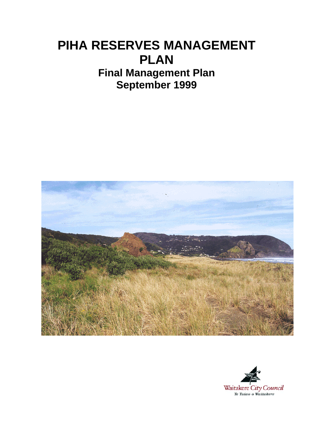# **PIHA RESERVES MANAGEMENT PLAN Final Management Plan September 1999**



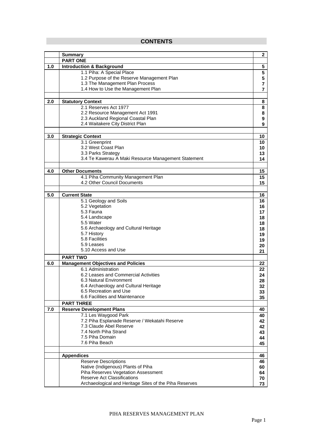## **CONTENTS**

|     | <b>Summary</b>                                                         | $\mathbf 2$ |
|-----|------------------------------------------------------------------------|-------------|
|     | <b>PART ONE</b>                                                        |             |
| 1.0 | <b>Introduction &amp; Background</b>                                   | 5           |
|     | 1.1 Piha: A Special Place                                              | 5           |
|     | 1.2 Purpose of the Reserve Management Plan                             | 5           |
|     | 1.3 The Management Plan Process                                        | 7           |
|     | 1.4 How to Use the Management Plan                                     | 7           |
|     |                                                                        |             |
| 2.0 | <b>Statutory Context</b>                                               | 8           |
|     | 2.1 Reserves Act 1977                                                  | 8           |
|     | 2.2 Resource Management Act 1991<br>2.3 Auckland Regional Coastal Plan | 8<br>9      |
|     | 2.4 Waitakere City District Plan                                       | 9           |
|     |                                                                        |             |
| 3.0 | <b>Strategic Context</b>                                               | 10          |
|     | 3.1 Greenprint                                                         | 10          |
|     | 3.2 West Coast Plan                                                    | 10          |
|     | 3.3 Parks Strategy                                                     | 13          |
|     | 3.4 Te Kawerau A Maki Resource Management Statement                    | 14          |
|     |                                                                        |             |
| 4.0 | <b>Other Documents</b>                                                 | 15          |
|     | 4.1 Piha Community Management Plan                                     | 15          |
|     | 4.2 Other Council Documents                                            | 15          |
|     | <b>Current State</b>                                                   |             |
| 5.0 | 5.1 Geology and Soils                                                  | 16<br>16    |
|     | 5.2 Vegetation                                                         | 16          |
|     | 5.3 Fauna                                                              | 17          |
|     | 5.4 Landscape                                                          | 18          |
|     | 5.5 Water                                                              | 18          |
|     | 5.6 Archaeology and Cultural Heritage                                  | 18          |
|     | 5.7 History                                                            | 19          |
|     | 5.8 Facilities                                                         | 19          |
|     | 5.9 Leases<br>5.10 Access and Use                                      | 20          |
|     |                                                                        | 21          |
|     | <b>PART TWO</b>                                                        |             |
| 6.0 | <b>Management Objectives and Policies</b><br>6.1 Administration        | 22          |
|     | 6.2 Leases and Commercial Activities                                   | 22<br>24    |
|     | 6.3 Natural Environment                                                | 28          |
|     | 6.4 Archaeology and Cultural Heritage                                  | 32          |
|     | 6.5 Recreation and Use                                                 | 33          |
|     | 6.6 Facilities and Maintenance                                         | 35          |
|     | <b>PART THREE</b>                                                      |             |
| 7.0 | <b>Reserve Development Plans</b>                                       | 40          |
|     | 7.1 Les Waygood Park                                                   | 40          |
|     | 7.2 Piha Esplanade Reserve / Wekatahi Reserve                          | 42          |
|     | 7.3 Claude Abel Reserve<br>7.4 North Piha Strand                       | 42          |
|     | 7.5 Piha Domain                                                        | 43          |
|     | 7.6 Piha Beach                                                         | 44<br>45    |
|     |                                                                        |             |
|     | <b>Appendices</b>                                                      | 46          |
|     | <b>Reserve Descriptions</b>                                            | 46          |
|     | Native (Indigenous) Plants of Piha                                     | 60          |
|     | Piha Reserves Vegetation Assessment                                    | 64          |
|     | Reserve Act Classifications                                            | 70          |
|     | Archaeological and Heritage Sites of the Piha Reserves                 | 73          |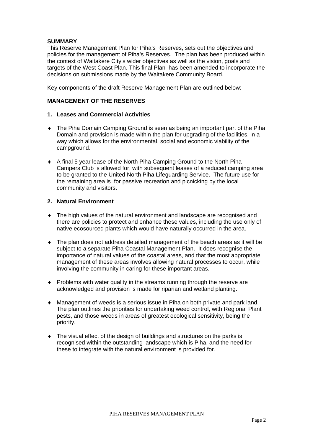## **SUMMARY**

This Reserve Management Plan for Piha's Reserves, sets out the objectives and policies for the management of Piha's Reserves. The plan has been produced within the context of Waitakere City's wider objectives as well as the vision, goals and targets of the West Coast Plan. This final Plan has been amended to incorporate the decisions on submissions made by the Waitakere Community Board.

Key components of the draft Reserve Management Plan are outlined below:

## **MANAGEMENT OF THE RESERVES**

## **1. Leases and Commercial Activities**

- ♦ The Piha Domain Camping Ground is seen as being an important part of the Piha Domain and provision is made within the plan for upgrading of the facilities, in a way which allows for the environmental, social and economic viability of the campground.
- ♦ A final 5 year lease of the North Piha Camping Ground to the North Piha Campers Club is allowed for, with subsequent leases of a reduced camping area to be granted to the United North Piha Lifeguarding Service. The future use for the remaining area is for passive recreation and picnicking by the local community and visitors.

## **2. Natural Environment**

- ♦ The high values of the natural environment and landscape are recognised and there are policies to protect and enhance these values, including the use only of native ecosourced plants which would have naturally occurred in the area.
- ♦ The plan does not address detailed management of the beach areas as it will be subject to a separate Piha Coastal Management Plan. It does recognise the importance of natural values of the coastal areas, and that the most appropriate management of these areas involves allowing natural processes to occur, while involving the community in caring for these important areas.
- ♦ Problems with water quality in the streams running through the reserve are acknowledged and provision is made for riparian and wetland planting.
- ♦ Management of weeds is a serious issue in Piha on both private and park land. The plan outlines the priorities for undertaking weed control, with Regional Plant pests, and those weeds in areas of greatest ecological sensitivity, being the priority.
- ♦ The visual effect of the design of buildings and structures on the parks is recognised within the outstanding landscape which is Piha, and the need for these to integrate with the natural environment is provided for.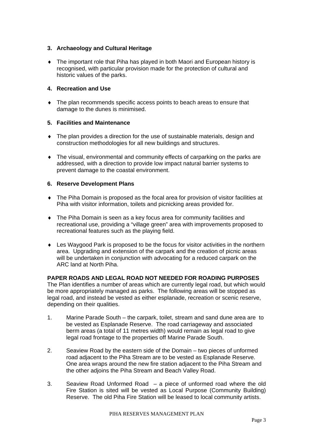## **3. Archaeology and Cultural Heritage**

♦ The important role that Piha has played in both Maori and European history is recognised, with particular provision made for the protection of cultural and historic values of the parks.

## **4. Recreation and Use**

♦ The plan recommends specific access points to beach areas to ensure that damage to the dunes is minimised.

## **5. Facilities and Maintenance**

- ♦ The plan provides a direction for the use of sustainable materials, design and construction methodologies for all new buildings and structures.
- ♦ The visual, environmental and community effects of carparking on the parks are addressed, with a direction to provide low impact natural barrier systems to prevent damage to the coastal environment.

## **6. Reserve Development Plans**

- ♦ The Piha Domain is proposed as the focal area for provision of visitor facilities at Piha with visitor information, toilets and picnicking areas provided for.
- ♦ The Piha Domain is seen as a key focus area for community facilities and recreational use, providing a "village green" area with improvements proposed to recreational features such as the playing field.
- ♦ Les Waygood Park is proposed to be the focus for visitor activities in the northern area. Upgrading and extension of the carpark and the creation of picnic areas will be undertaken in conjunction with advocating for a reduced carpark on the ARC land at North Piha.

## **PAPER ROADS AND LEGAL ROAD NOT NEEDED FOR ROADING PURPOSES**

The Plan identifies a number of areas which are currently legal road, but which would be more appropriately managed as parks. The following areas will be stopped as legal road, and instead be vested as either esplanade, recreation or scenic reserve, depending on their qualities.

- 1. Marine Parade South the carpark, toilet, stream and sand dune area are to be vested as Esplanade Reserve. The road carriageway and associated berm areas (a total of 11 metres width) would remain as legal road to give legal road frontage to the properties off Marine Parade South.
- 2. Seaview Road by the eastern side of the Domain two pieces of unformed road adjacent to the Piha Stream are to be vested as Esplanade Reserve. One area wraps around the new fire station adjacent to the Piha Stream and the other adjoins the Piha Stream and Beach Valley Road.
- 3. Seaview Road Unformed Road a piece of unformed road where the old Fire Station is sited will be vested as Local Purpose (Community Building) Reserve. The old Piha Fire Station will be leased to local community artists.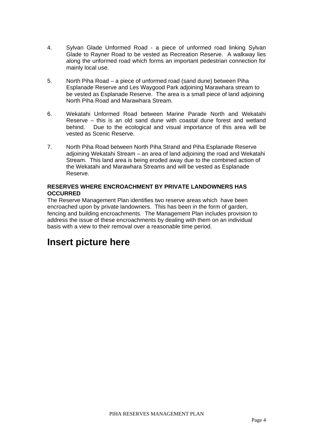- 4. Sylvan Glade Unformed Road a piece of unformed road linking Sylvan Glade to Rayner Road to be vested as Recreation Reserve. A walkway lies along the unformed road which forms an important pedestrian connection for mainly local use.
- 5. North Piha Road a piece of unformed road (sand dune) between Piha Esplanade Reserve and Les Waygood Park adjoining Marawhara stream to be vested as Esplanade Reserve. The area is a small piece of land adjoining North Piha Road and Marawhara Stream.
- 6. Wekatahi Unformed Road between Marine Parade North and Wekatahi Reserve – this is an old sand dune with coastal dune forest and wetland behind. Due to the ecological and visual importance of this area will be vested as Scenic Reserve.
- 7. North Piha Road between North Piha Strand and Piha Esplanade Reserve adjoining Wekatahi Stream – an area of land adjoining the road and Wekatahi Stream. This land area is being eroded away due to the combined action of the Wekatahi and Marawhara Streams and will be vested as Esplanade Reserve.

## **RESERVES WHERE ENCROACHMENT BY PRIVATE LANDOWNERS HAS OCCURRED**

The Reserve Management Plan identifies two reserve areas which have been encroached upon by private landowners. This has been in the form of garden, fencing and building encroachments. The Management Plan includes provision to address the issue of these encroachments by dealing with them on an individual basis with a view to their removal over a reasonable time period.

## **Insert picture here**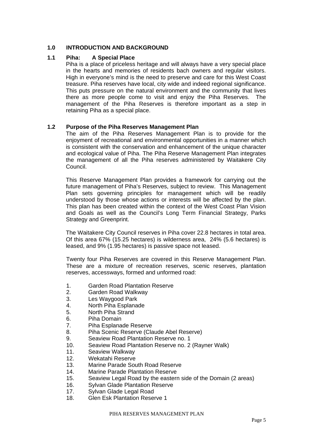## **1.0 INTRODUCTION AND BACKGROUND**

## **1.1 Piha: A Special Place**

Piha is a place of priceless heritage and will always have a very special place in the hearts and memories of residents bach owners and regular visitors. High in everyone's mind is the need to preserve and care for this West Coast treasure. Piha reserves have local, city wide and indeed regional significance. This puts pressure on the natural environment and the community that lives there as more people come to visit and enjoy the Piha Reserves. The management of the Piha Reserves is therefore important as a step in retaining Piha as a special place.

## **1.2 Purpose of the Piha Reserves Management Plan**

The aim of the Piha Reserves Management Plan is to provide for the enjoyment of recreational and environmental opportunities in a manner which is consistent with the conservation and enhancement of the unique character and ecological value of Piha. The Piha Reserve Management Plan integrates the management of all the Piha reserves administered by Waitakere City Council.

This Reserve Management Plan provides a framework for carrying out the future management of Piha's Reserves, subject to review. This Management Plan sets governing principles for management which will be readily understood by those whose actions or interests will be affected by the plan. This plan has been created within the context of the West Coast Plan Vision and Goals as well as the Council's Long Term Financial Strategy, Parks Strategy and Greenprint.

The Waitakere City Council reserves in Piha cover 22.8 hectares in total area. Of this area 67% (15.25 hectares) is wilderness area, 24% (5.6 hectares) is leased, and 9% (1.95 hectares) is passive space not leased.

Twenty four Piha Reserves are covered in this Reserve Management Plan. These are a mixture of recreation reserves, scenic reserves, plantation reserves, accessways, formed and unformed road:

- 1. Garden Road Plantation Reserve
- 2. Garden Road Walkway
- 3. Les Waygood Park
- 4. North Piha Esplanade
- 5. North Piha Strand
- 6. Piha Domain
- 7. Piha Esplanade Reserve
- 8. Piha Scenic Reserve (Claude Abel Reserve)
- 9. Seaview Road Plantation Reserve no. 1
- 10. Seaview Road Plantation Reserve no. 2 (Rayner Walk)
- 11. Seaview Walkway
- 12. Wekatahi Reserve
- 13. Marine Parade South Road Reserve
- 14. Marine Parade Plantation Reserve
- 15. Seaview Legal Road by the eastern side of the Domain (2 areas)
- 16. Sylvan Glade Plantation Reserve
- 17. Sylvan Glade Legal Road
- 18. Glen Esk Plantation Reserve 1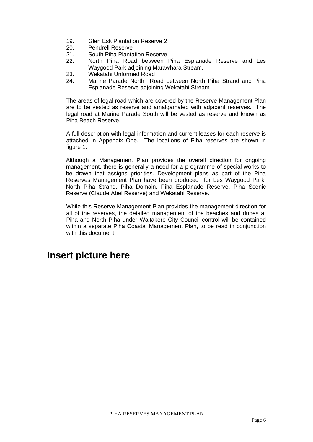- 19. Glen Esk Plantation Reserve 2
- 20. Pendrell Reserve
- 21. South Piha Plantation Reserve
- 22. North Piha Road between Piha Esplanade Reserve and Les Waygood Park adjoining Marawhara Stream.
- 23. Wekatahi Unformed Road
- 24. Marine Parade North Road between North Piha Strand and Piha Esplanade Reserve adjoining Wekatahi Stream

The areas of legal road which are covered by the Reserve Management Plan are to be vested as reserve and amalgamated with adjacent reserves. The legal road at Marine Parade South will be vested as reserve and known as Piha Beach Reserve.

A full description with legal information and current leases for each reserve is attached in Appendix One. The locations of Piha reserves are shown in figure 1.

Although a Management Plan provides the overall direction for ongoing management, there is generally a need for a programme of special works to be drawn that assigns priorities. Development plans as part of the Piha Reserves Management Plan have been produced for Les Waygood Park, North Piha Strand, Piha Domain, Piha Esplanade Reserve, Piha Scenic Reserve (Claude Abel Reserve) and Wekatahi Reserve.

While this Reserve Management Plan provides the management direction for all of the reserves, the detailed management of the beaches and dunes at Piha and North Piha under Waitakere City Council control will be contained within a separate Piha Coastal Management Plan, to be read in conjunction with this document.

## **Insert picture here**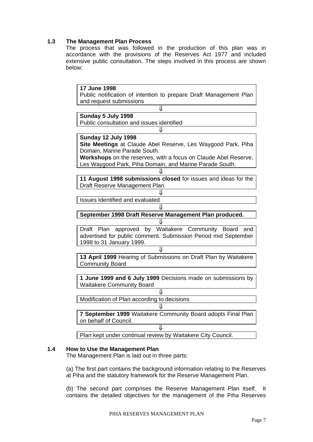## **1.3 The Management Plan Process**

The process that was followed in the production of this plan was in accordance with the provisions of the Reserves Act 1977 and included extensive public consultation. The steps involved in this process are shown below:

| 17 June 1998 |                                                                   |
|--------------|-------------------------------------------------------------------|
|              | Public notification of intention to prepare Draft Management Plan |
|              | and request submissions                                           |
|              | IJ                                                                |
|              | Sunday 5 July 1998                                                |
|              | Public consultation and issues identified                         |
|              |                                                                   |
|              |                                                                   |
|              | Sunday 12 July 1998                                               |
|              | Site Meetings at Claude Abel Reserve, Les Waygood Park, Piha      |
|              | Domain, Marine Parade South.                                      |
|              | Workshops on the reserves, with a focus on Claude Abel Reserve,   |
|              | Les Waygood Park, Piha Domain, and Marine Parade South.           |
|              |                                                                   |
|              |                                                                   |
|              | 11 August 1998 submissions closed for issues and ideas for the    |
|              | Draft Reserve Management Plan.                                    |
|              |                                                                   |
|              | <b>Issues Identified and evaluated</b>                            |
|              |                                                                   |
|              | September 1998 Draft Reserve Management Plan produced.            |
|              |                                                                   |
| Draft Plan   | approved by Waitakere Community Board<br>and                      |
|              |                                                                   |
|              | advertised for public comment. Submission Period mid September    |
|              | 1998 to 31 January 1999.                                          |
|              | ⇓                                                                 |
|              | 13 April 1999 Hearing of Submissions on Draft Plan by Waitakere   |
|              | <b>Community Board</b>                                            |
|              |                                                                   |
|              | 1 June 1999 and 6 July 1999 Decisions made on submissions by      |
|              | <b>Waitakere Community Board</b>                                  |
|              | JΙ                                                                |
|              |                                                                   |
|              | Modification of Plan according to decisions                       |
|              |                                                                   |
|              | 7 September 1999 Waitakere Community Board adopts Final Plan      |
|              | on behalf of Council.                                             |
|              |                                                                   |
|              | Ιl                                                                |
|              | Plan kept under continual review by Waitakere City Council.       |

## **1.4 How to Use the Management Plan**

The Management Plan is laid out in three parts:

(a) The first part contains the background information relating to the Reserves at Piha and the statutory framework for the Reserve Management Plan.

(b) The second part comprises the Reserve Management Plan itself. It contains the detailed objectives for the management of the Piha Reserves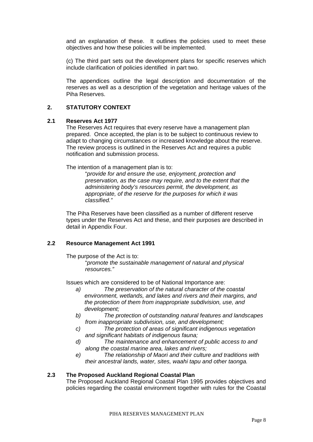and an explanation of these. It outlines the policies used to meet these objectives and how these policies will be implemented.

(c) The third part sets out the development plans for specific reserves which include clarification of policies identified in part two.

The appendices outline the legal description and documentation of the reserves as well as a description of the vegetation and heritage values of the Piha Reserves.

## **2. STATUTORY CONTEXT**

### **2.1 Reserves Act 1977**

The Reserves Act requires that every reserve have a management plan prepared. Once accepted, the plan is to be subject to continuous review to adapt to changing circumstances or increased knowledge about the reserve. The review process is outlined in the Reserves Act and requires a public notification and submission process.

The intention of a management plan is to:

"*provide for and ensure the use, enjoyment, protection and preservation, as the case may require, and to the extent that the administering body's resources permit, the development, as appropriate, of the reserve for the purposes for which it was classified."* 

The Piha Reserves have been classified as a number of different reserve types under the Reserves Act and these, and their purposes are described in detail in Appendix Four.

### **2.2 Resource Management Act 1991**

The purpose of the Act is to:

"*promote the sustainable management of natural and physical resources."* 

Issues which are considered to be of National Importance are:

- *a) The preservation of the natural character of the coastal environment, wetlands, and lakes and rivers and their margins, and the protection of them from inappropriate subdivision, use, and development;*
- *b) The protection of outstanding natural features and landscapes from inappropriate subdivision, use, and development;*
- *c) The protection of areas of significant indigenous vegetation and significant habitats of indigenous fauna;*
- *d) The maintenance and enhancement of public access to and along the coastal marine area, lakes and rivers;*
- *e) The relationship of Maori and their culture and traditions with their ancestral lands, water, sites, waahi tapu and other taonga.*

### **2.3 The Proposed Auckland Regional Coastal Plan**

The Proposed Auckland Regional Coastal Plan 1995 provides objectives and policies regarding the coastal environment together with rules for the Coastal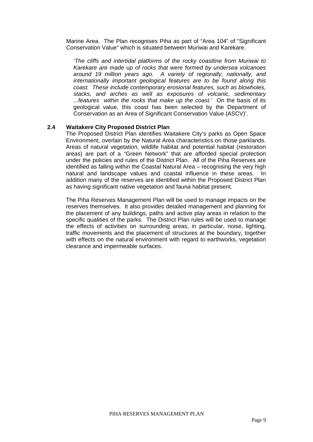Marine Area. The Plan recognises Piha as part of "Area 104" of "Significant Conservation Value" which is situated between Muriwai and Karekare.

 '*The cliffs and intertidal platforms of the rocky coastline from Muriwai to Karekare are made up of rocks that were formed by undersea volcanoes around 19 million years ago. A variety of regionally, nationally, and internationally important geological features are to be found along this coast. These include contemporary erosional features, such as blowholes, stacks, and arches as well as exposures of volcanic, sedimentary ...features within the rocks that make up the coast.'* On the basis of its geological value, this coast has been selected by the Department of Conservation as an Area of Significant Conservation Value (ASCV)'.

### **2.4 Waitakere City Proposed District Plan**

The Proposed District Plan identifies Waitakere City's parks as Open Space Environment, overlain by the Natural Area characteristics on those parklands. Areas of natural vegetation, wildlife habitat and potential habitat (restoration areas) are part of a "Green Network" that are afforded special protection under the policies and rules of the District Plan. All of the Piha Reserves are identified as falling within the Coastal Natural Area – recognising the very high natural and landscape values and coastal influence in these areas. In addition many of the reserves are identified within the Proposed District Plan as having significant native vegetation and fauna habitat present.

The Piha Reserves Management Plan will be used to manage impacts on the reserves themselves. It also provides detailed management and planning for the placement of any buildings, paths and active play areas in relation to the specific qualities of the parks. The District Plan rules will be used to manage the effects of activities on surrounding areas, in particular, noise, lighting, traffic movements and the placement of structures at the boundary, together with effects on the natural environment with regard to earthworks, vegetation clearance and impermeable surfaces.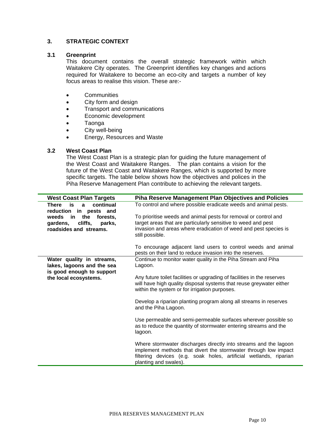## **3. STRATEGIC CONTEXT**

## **3.1 Greenprint**

This document contains the overall strategic framework within which Waitakere City operates. The Greenprint identifies key changes and actions required for Waitakere to become an eco-city and targets a number of key focus areas to realise this vision. These are:-

- Communities
- City form and design
- Transport and communications
- Economic development
- Taonga
- City well-being
- Energy, Resources and Waste

## **3.2 West Coast Plan**

The West Coast Plan is a strategic plan for guiding the future management of the West Coast and Waitakere Ranges. The plan contains a vision for the future of the West Coast and Waitakere Ranges, which is supported by more specific targets. The table below shows how the objectives and polices in the Piha Reserve Management Plan contribute to achieving the relevant targets.

| <b>West Coast Plan Targets</b>                                     | <b>Piha Reserve Management Plan Objectives and Policies</b>                                                                                                                                                                       |
|--------------------------------------------------------------------|-----------------------------------------------------------------------------------------------------------------------------------------------------------------------------------------------------------------------------------|
| is<br>continual<br>There<br>$\mathbf{a}$<br>reduction in pests and | To control and where possible eradicate weeds and animal pests.                                                                                                                                                                   |
| in in<br>the<br>weeds<br>forests.                                  | To prioritise weeds and animal pests for removal or control and                                                                                                                                                                   |
| cliffs,<br>gardens,<br>parks,                                      | target areas that are particularly sensitive to weed and pest                                                                                                                                                                     |
| roadsides and streams.                                             | invasion and areas where eradication of weed and pest species is<br>still possible.                                                                                                                                               |
|                                                                    | To encourage adjacent land users to control weeds and animal                                                                                                                                                                      |
|                                                                    | pests on their land to reduce invasion into the reserves.                                                                                                                                                                         |
| Water quality in streams,<br>lakes, lagoons and the sea            | Continue to monitor water quality in the Piha Stream and Piha<br>Lagoon.                                                                                                                                                          |
| is good enough to support<br>the local ecosystems.                 | Any future toilet facilities or upgrading of facilities in the reserves                                                                                                                                                           |
|                                                                    | will have high quality disposal systems that reuse greywater either<br>within the system or for irrigation purposes.                                                                                                              |
|                                                                    | Develop a riparian planting program along all streams in reserves<br>and the Piha Lagoon.                                                                                                                                         |
|                                                                    | Use permeable and semi-permeable surfaces wherever possible so<br>as to reduce the quantity of stormwater entering streams and the<br>lagoon.                                                                                     |
|                                                                    | Where stormwater discharges directly into streams and the lagoon<br>implement methods that divert the stormwater through low impact<br>filtering devices (e.g. soak holes, artificial wetlands, riparian<br>planting and swales). |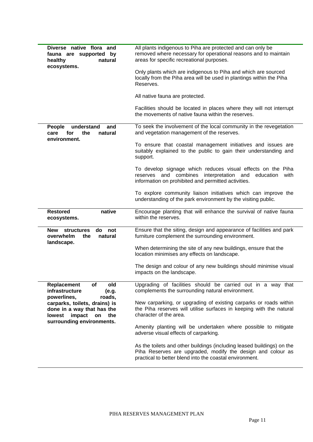| Diverse native flora and<br>fauna are supported by<br>healthy<br>natural<br>ecosystems.                                                                                                                | All plants indigenous to Piha are protected and can only be<br>removed where necessary for operational reasons and to maintain<br>areas for specific recreational purposes.<br>Only plants which are indigenous to Piha and which are sourced<br>locally from the Piha area will be used in plantings within the Piha<br>Reserves.<br>All native fauna are protected.<br>Facilities should be located in places where they will not interrupt<br>the movements of native fauna within the reserves.                                                                                                  |
|--------------------------------------------------------------------------------------------------------------------------------------------------------------------------------------------------------|------------------------------------------------------------------------------------------------------------------------------------------------------------------------------------------------------------------------------------------------------------------------------------------------------------------------------------------------------------------------------------------------------------------------------------------------------------------------------------------------------------------------------------------------------------------------------------------------------|
| understand<br>People<br>and<br>for<br>the<br>natural<br>care<br>environment.                                                                                                                           | To seek the involvement of the local community in the revegetation<br>and vegetation management of the reserves.<br>To ensure that coastal management initiatives and issues are<br>suitably explained to the public to gain their understanding and<br>support.<br>To develop signage which reduces visual effects on the Piha<br>reserves and combines<br>interpretation and<br>education<br>with<br>information on prohibited and permitted activities.<br>To explore community liaison initiatives which can improve the<br>understanding of the park environment by the visiting public.        |
| <b>Restored</b><br>native<br>ecosystems.                                                                                                                                                               | Encourage planting that will enhance the survival of native fauna<br>within the reserves.                                                                                                                                                                                                                                                                                                                                                                                                                                                                                                            |
| <b>New</b><br><b>structures</b><br>not<br>do<br>overwhelm<br>the<br>natural<br>landscape.                                                                                                              | Ensure that the siting, design and appearance of facilities and park<br>furniture complement the surrounding environment.<br>When determining the site of any new buildings, ensure that the<br>location minimises any effects on landscape.<br>The design and colour of any new buildings should minimise visual<br>impacts on the landscape.                                                                                                                                                                                                                                                       |
| Replacement<br>old<br>οf<br>infrastructure<br>(e.g.<br>powerlines,<br>roads,<br>carparks, toilets, drains) is<br>done in a way that has the<br>lowest impact<br>the<br>on<br>surrounding environments. | Upgrading of facilities should be carried out in a way that<br>complements the surrounding natural environment.<br>New carparking, or upgrading of existing carparks or roads within<br>the Piha reserves will utilise surfaces in keeping with the natural<br>character of the area.<br>Amenity planting will be undertaken where possible to mitigate<br>adverse visual effects of carparking.<br>As the toilets and other buildings (including leased buildings) on the<br>Piha Reserves are upgraded, modify the design and colour as<br>practical to better blend into the coastal environment. |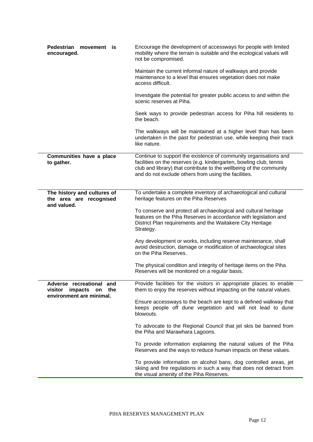| Pedestrian<br>movement is<br>encouraged.                                                   | Encourage the development of accessways for people with limited<br>mobility where the terrain is suitable and the ecological values will<br>not be compromised.                                                                                                        |
|--------------------------------------------------------------------------------------------|------------------------------------------------------------------------------------------------------------------------------------------------------------------------------------------------------------------------------------------------------------------------|
|                                                                                            | Maintain the current informal nature of walkways and provide<br>maintenance to a level that ensures vegetation does not make<br>access difficult.                                                                                                                      |
|                                                                                            | Investigate the potential for greater public access to and within the<br>scenic reserves at Piha.                                                                                                                                                                      |
|                                                                                            | Seek ways to provide pedestrian access for Piha hill residents to<br>the beach.                                                                                                                                                                                        |
|                                                                                            | The walkways will be maintained at a higher level than has been<br>undertaken in the past for pedestrian use, while keeping their track<br>like nature.                                                                                                                |
| Communities have a place<br>to gather.                                                     | Continue to support the existence of community organisations and<br>facilities on the reserves (e.g. kindergarten, bowling club, tennis<br>club and library) that contribute to the wellbeing of the community<br>and do not exclude others from using the facilities. |
| The history and cultures of<br>the area are recognised<br>and valued.                      | To undertake a complete inventory of archaeological and cultural<br>heritage features on the Piha Reserves                                                                                                                                                             |
|                                                                                            | To conserve and protect all archaeological and cultural heritage<br>features on the Piha Reserves in accordance with legislation and<br>District Plan requirements and the Waitakere City Heritage<br>Strategy.                                                        |
|                                                                                            | Any development or works, including reserve maintenance, shall<br>avoid destruction, damage or modification of archaeological sites<br>on the Piha Reserves.                                                                                                           |
|                                                                                            | The physical condition and integrity of heritage items on the Piha<br>Reserves will be monitored on a regular basis.                                                                                                                                                   |
| Adverse recreational<br>and<br>the<br>visitor<br>impacts<br>on<br>environment are minimal. | Provide facilities for the visitors in appropriate places to enable<br>them to enjoy the reserves without impacting on the natural values.                                                                                                                             |
|                                                                                            | Ensure accessways to the beach are kept to a defined walkway that<br>keeps people off dune vegetation and will not lead to dune<br>blowouts.                                                                                                                           |
|                                                                                            | To advocate to the Regional Council that jet skis be banned from<br>the Piha and Marawhara Lagoons.                                                                                                                                                                    |
|                                                                                            | To provide information explaining the natural values of the Piha<br>Reserves and the ways to reduce human impacts on these values.                                                                                                                                     |
|                                                                                            | To provide information on alcohol bans, dog controlled areas, jet<br>skiing and fire regulations in such a way that does not detract from<br>the visual amenity of the Piha Reserves.                                                                                  |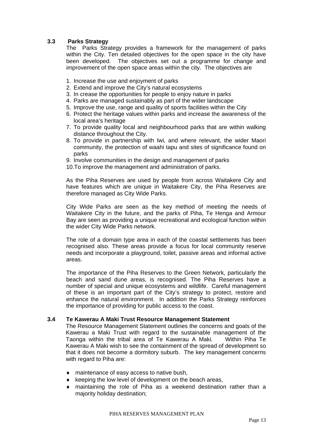## **3.3 Parks Strategy**

The Parks Strategy provides a framework for the management of parks within the City. Ten detailed objectives for the open space in the city have been developed. The objectives set out a programme for change and improvement of the open space areas within the city. The objectives are

- 1. Increase the use and enjoyment of parks
- 2. Extend and improve the City's natural ecosystems
- 3. In crease the opportunities for people to enjoy nature in parks
- 4. Parks are managed sustainably as part of the wider landscape
- 5. Improve the use, range and quality of sports facilities within the City
- 6. Protect the heritage values within parks and increase the awareness of the local area's heritage
- 7. To provide quality local and neighbourhood parks that are within walking distance throughout the City.
- 8. To provide in partnership with Iwi, and where relevant, the wider Maori community, the protection of waahi tapu and sites of significance found on parks
- 9. Involve communities in the design and management of parks
- 10.To improve the management and administration of parks.

As the Piha Reserves are used by people from across Waitakere City and have features which are unique in Waitakere City, the Piha Reserves are therefore managed as City Wide Parks.

City Wide Parks are seen as the key method of meeting the needs of Waitakere City in the future, and the parks of Piha, Te Henga and Armour Bay are seen as providing a unique recreational and ecological function within the wider City Wide Parks network.

The role of a domain type area in each of the coastal settlements has been recognised also. These areas provide a focus for local community reserve needs and incorporate a playground, toilet, passive areas and informal active areas.

The importance of the Piha Reserves to the Green Network, particularly the beach and sand dune areas, is recognised. The Piha Reserves have a number of special and unique ecosystems and wildlife. Careful management of these is an important part of the City's strategy to protect, restore and enhance the natural environment. In addition the Parks Strategy reinforces the importance of providing for public access to the coast.

### **3.4 Te Kawerau A Maki Trust Resource Management Statement**

 The Resource Management Statement outlines the concerns and goals of the Kawerau a Maki Trust with regard to the sustainable management of the Taonga within the tribal area of Te Kawerau A Maki. Within Piha Te Kawerau A Maki wish to see the containment of the spread of development so that it does not become a dormitory suburb. The key management concerns with regard to Piha are:

- ♦ maintenance of easy access to native bush,
- ♦ keeping the low level of development on the beach areas,
- ♦ maintaining the role of Piha as a weekend destination rather than a majority holiday destination;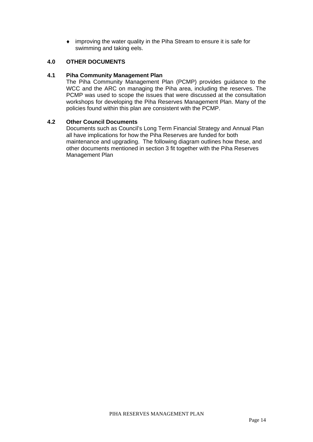♦ improving the water quality in the Piha Stream to ensure it is safe for swimming and taking eels.

## **4.0 OTHER DOCUMENTS**

## **4.1 Piha Community Management Plan**

The Piha Community Management Plan (PCMP) provides guidance to the WCC and the ARC on managing the Piha area, including the reserves. The PCMP was used to scope the issues that were discussed at the consultation workshops for developing the Piha Reserves Management Plan. Many of the policies found within this plan are consistent with the PCMP.

## **4.2 Other Council Documents**

Documents such as Council's Long Term Financial Strategy and Annual Plan all have implications for how the Piha Reserves are funded for both maintenance and upgrading. The following diagram outlines how these, and other documents mentioned in section 3 fit together with the Piha Reserves Management Plan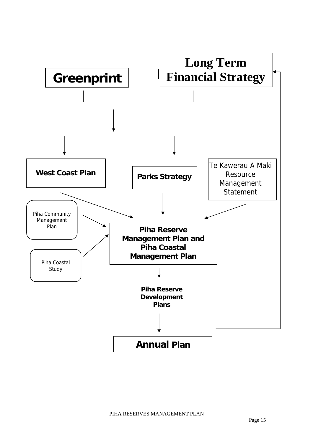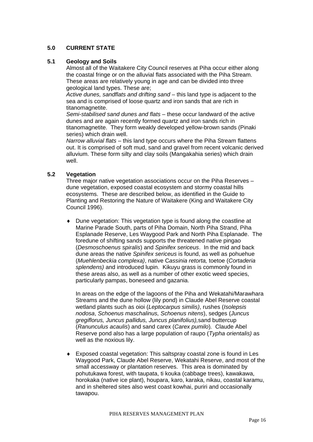## **5.0 CURRENT STATE**

## **5.1 Geology and Soils**

Almost all of the Waitakere City Council reserves at Piha occur either along the coastal fringe or on the alluvial flats associated with the Piha Stream. These areas are relatively young in age and can be divided into three geological land types. These are;

*Active dunes, sandflats and drifting sand* – this land type is adjacent to the sea and is comprised of loose quartz and iron sands that are rich in titanomagnetite.

*Semi-stabilised sand dunes and flats* – these occur landward of the active dunes and are again recently formed quartz and iron sands rich in titanomagnetite. They form weakly developed yellow-brown sands (Pinaki series) which drain well.

*Narrow alluvial flats* – this land type occurs where the Piha Stream flattens out. It is comprised of soft mud, sand and gravel from recent volcanic derived alluvium. These form silty and clay soils (Mangakahia series) which drain well.

## **5.2 Vegetation**

Three major native vegetation associations occur on the Piha Reserves – dune vegetation, exposed coastal ecosystem and stormy coastal hills ecosystems. These are described below, as identified in the Guide to Planting and Restoring the Nature of Waitakere (King and Waitakere City Council 1996).

♦ Dune vegetation: This vegetation type is found along the coastline at Marine Parade South, parts of Piha Domain, North Piha Strand, Piha Esplanade Reserve, Les Waygood Park and North Piha Esplanade. The foredune of shifting sands supports the threatened native pingao (*Desmoschoenus spiralis*) and *Spinifex sericeus*. In the mid and back dune areas the native *Spinifex sericeus* is found, as well as pohuehue (*Muehlenbeckia complexa)*, native C*assinia retorta,* toetoe (*Cortaderia splendens)* and introduced lupin. Kikuyu grass is commonly found in these areas also, as well as a number of other exotic weed species, particularly pampas, boneseed and gazania.

In areas on the edge of the lagoons of the Piha and Wekatahi/Marawhara Streams and the dune hollow (lily pond) in Claude Abel Reserve coastal wetland plants such as oioi (*Leptocarpus similis)*, rushes (*Isolepsis nodosa*, *Schoenus maschalinus, Schoenus nitens*), sedges (*Juncus gregiflorus, Juncus pallidus, Juncus planifolius),*sand buttercup (*Ranunculus acaulis*) and sand carex (*Carex pumilo*)*.* Claude Abel Reserve pond also has a large population of raupo (*Typha orientalis)* as well as the noxious lily.

♦ Exposed coastal vegetation: This saltspray coastal zone is found in Les Waygood Park, Claude Abel Reserve, Wekatahi Reserve, and most of the small accessway or plantation reserves. This area is dominated by pohutukawa forest, with taupata, ti kouka (cabbage trees), kawakawa, horokaka (native ice plant), houpara, karo, karaka, nikau, coastal karamu, and in sheltered sites also west coast kowhai, puriri and occasionally tawapou.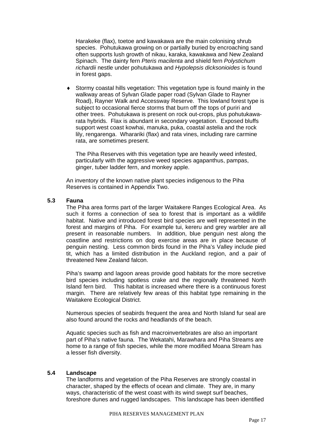Harakeke (flax), toetoe and kawakawa are the main colonising shrub species. Pohutukawa growing on or partially buried by encroaching sand often supports lush growth of nikau, karaka, kawakawa and New Zealand Spinach. The dainty fern *Pteris macilenta* and shield fern *Polystichum richardii* nestle under pohutukawa and *Hypolepsis dicksonioides* is found in forest gaps.

♦ Stormy coastal hills vegetation: This vegetation type is found mainly in the walkway areas of Sylvan Glade paper road (Sylvan Glade to Rayner Road), Rayner Walk and Accessway Reserve. This lowland forest type is subject to occasional fierce storms that burn off the tops of puriri and other trees. Pohutukawa is present on rock out-crops, plus pohutukawarata hybrids. Flax is abundant in secondary vegetation. Exposed bluffs support west coast kowhai, manuka, puka, coastal astelia and the rock lily, rengarenga. Wharariki (flax) and rata vines, including rare carmine rata, are sometimes present.

The Piha Reserves with this vegetation type are heavily weed infested, particularly with the aggressive weed species agapanthus, pampas, ginger, tuber ladder fern, and monkey apple.

An inventory of the known native plant species indigenous to the Piha Reserves is contained in Appendix Two.

## **5.3 Fauna**

The Piha area forms part of the larger Waitakere Ranges Ecological Area. As such it forms a connection of sea to forest that is important as a wildlife habitat. Native and introduced forest bird species are well represented in the forest and margins of Piha. For example tui, kereru and grey warbler are all present in reasonable numbers. In addition, blue penguin nest along the coastline and restrictions on dog exercise areas are in place because of penguin nesting. Less common birds found in the Piha's Valley include pied tit, which has a limited distribution in the Auckland region, and a pair of threatened New Zealand falcon.

Piha's swamp and lagoon areas provide good habitats for the more secretive bird species including spotless crake and the regionally threatened North Island fern bird. This habitat is increased where there is a continuous forest margin. There are relatively few areas of this habitat type remaining in the Waitakere Ecological District.

Numerous species of seabirds frequent the area and North Island fur seal are also found around the rocks and headlands of the beach.

Aquatic species such as fish and macroinvertebrates are also an important part of Piha's native fauna. The Wekatahi, Marawhara and Piha Streams are home to a range of fish species, while the more modified Moana Stream has a lesser fish diversity.

### **5.4 Landscape**

The landforms and vegetation of the Piha Reserves are strongly coastal in character, shaped by the effects of ocean and climate. They are, in many ways, characteristic of the west coast with its wind swept surf beaches, foreshore dunes and rugged landscapes. This landscape has been identified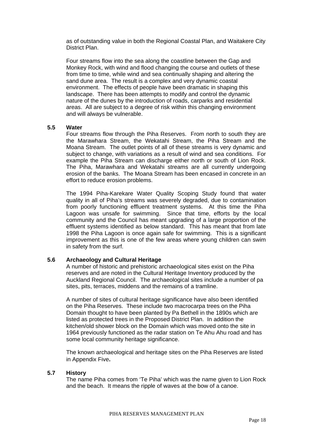as of outstanding value in both the Regional Coastal Plan, and Waitakere City District Plan.

Four streams flow into the sea along the coastline between the Gap and Monkey Rock, with wind and flood changing the course and outlets of these from time to time, while wind and sea continually shaping and altering the sand dune area. The result is a complex and very dynamic coastal environment. The effects of people have been dramatic in shaping this landscape. There has been attempts to modify and control the dynamic nature of the dunes by the introduction of roads, carparks and residential areas. All are subject to a degree of risk within this changing environment and will always be vulnerable.

### **5.5 Water**

Four streams flow through the Piha Reserves. From north to south they are the Marawhara Stream, the Wekatahi Stream, the Piha Stream and the Moana Stream. The outlet points of all of these streams is very dynamic and subject to change, with variations as a result of wind and sea conditions. For example the Piha Stream can discharge either north or south of Lion Rock. The Piha, Marawhara and Wekatahi streams are all currently undergoing erosion of the banks. The Moana Stream has been encased in concrete in an effort to reduce erosion problems.

The 1994 Piha-Karekare Water Quality Scoping Study found that water quality in all of Piha's streams was severely degraded, due to contamination from poorly functioning effluent treatment systems. At this time the Piha Lagoon was unsafe for swimming. Since that time, efforts by the local community and the Council has meant upgrading of a large proportion of the effluent systems identified as below standard. This has meant that from late 1998 the Piha Lagoon is once again safe for swimming. This is a significant improvement as this is one of the few areas where young children can swim in safety from the surf.

## **5.6 Archaeology and Cultural Heritage**

A number of historic and prehistoric archaeological sites exist on the Piha reserves and are noted in the Cultural Heritage Inventory produced by the Auckland Regional Council. The archaeological sites include a number of pa sites, pits, terraces, middens and the remains of a tramline.

A number of sites of cultural heritage significance have also been identified on the Piha Reserves. These include two macrocarpa trees on the Piha Domain thought to have been planted by Pa Bethell in the 1890s which are listed as protected trees in the Proposed District Plan. In addition the kitchen/old shower block on the Domain which was moved onto the site in 1964 previously functioned as the radar station on Te Ahu Ahu road and has some local community heritage significance.

The known archaeological and heritage sites on the Piha Reserves are listed in Appendix Five**.** 

### **5.7 History**

The name Piha comes from 'Te Piha' which was the name given to Lion Rock and the beach. It means the ripple of waves at the bow of a canoe.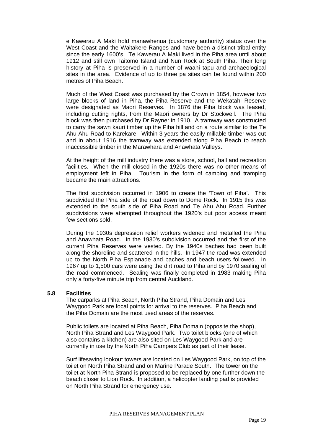e Kawerau A Maki hold manawhenua (customary authority) status over the West Coast and the Waitakere Ranges and have been a distinct tribal entity since the early 1600's. Te Kawerau A Maki lived in the Piha area until about 1912 and still own Taitomo Island and Nun Rock at South Piha. Their long history at Piha is preserved in a number of waahi tapu and archaeological sites in the area. Evidence of up to three pa sites can be found within 200 metres of Piha Beach.

Much of the West Coast was purchased by the Crown in 1854, however two large blocks of land in Piha, the Piha Reserve and the Wekatahi Reserve were designated as Maori Reserves. In 1876 the Piha block was leased, including cutting rights, from the Maori owners by Dr Stockwell. The Piha block was then purchased by Dr Rayner in 1910. A tramway was constructed to carry the sawn kauri timber up the Piha hill and on a route similar to the Te Ahu Ahu Road to Karekare. Within 3 years the easily millable timber was cut and in about 1916 the tramway was extended along Piha Beach to reach inaccessible timber in the Marawhara and Anawhata Valleys.

At the height of the mill industry there was a store, school, hall and recreation facilities. When the mill closed in the 1920s there was no other means of employment left in Piha. Tourism in the form of camping and tramping became the main attractions.

The first subdivision occurred in 1906 to create the 'Town of Piha'. This subdivided the Piha side of the road down to Dome Rock. In 1915 this was extended to the south side of Piha Road and Te Ahu Ahu Road. Further subdivisions were attempted throughout the 1920's but poor access meant few sections sold.

During the 1930s depression relief workers widened and metalled the Piha and Anawhata Road. In the 1930's subdivision occurred and the first of the current Piha Reserves were vested. By the 1940s baches had been built along the shoreline and scattered in the hills. In 1947 the road was extended up to the North Piha Esplanade and baches and beach users followed. In 1967 up to 1,500 cars were using the dirt road to Piha and by 1970 sealing of the road commenced. Sealing was finally completed in 1983 making Piha only a forty-five minute trip from central Auckland.

### **5.8 Facilities**

The carparks at Piha Beach, North Piha Strand, Piha Domain and Les Waygood Park are focal points for arrival to the reserves. Piha Beach and the Piha Domain are the most used areas of the reserves.

Public toilets are located at Piha Beach, Piha Domain (opposite the shop), North Piha Strand and Les Waygood Park. Two toilet blocks (one of which also contains a kitchen) are also sited on Les Waygood Park and are currently in use by the North Piha Campers Club as part of their lease.

Surf lifesaving lookout towers are located on Les Waygood Park, on top of the toilet on North Piha Strand and on Marine Parade South. The tower on the toilet at North Piha Strand is proposed to be replaced by one further down the beach closer to Lion Rock. In addition, a helicopter landing pad is provided on North Piha Strand for emergency use.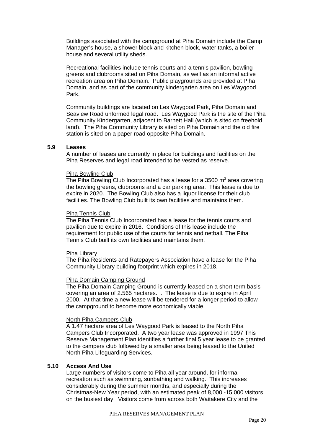Buildings associated with the campground at Piha Domain include the Camp Manager's house, a shower block and kitchen block, water tanks, a boiler house and several utility sheds.

Recreational facilities include tennis courts and a tennis pavilion, bowling greens and clubrooms sited on Piha Domain, as well as an informal active recreation area on Piha Domain. Public playgrounds are provided at Piha Domain, and as part of the community kindergarten area on Les Waygood Park.

Community buildings are located on Les Waygood Park, Piha Domain and Seaview Road unformed legal road. Les Waygood Park is the site of the Piha Community Kindergarten, adjacent to Barnett Hall (which is sited on freehold land). The Piha Community Library is sited on Piha Domain and the old fire station is sited on a paper road opposite Piha Domain.

## **5.9 Leases**

A number of leases are currently in place for buildings and facilities on the Piha Reserves and legal road intended to be vested as reserve.

#### Piha Bowling Club

The Piha Bowling Club Incorporated has a lease for a 3500  $m^2$  area covering the bowling greens, clubrooms and a car parking area. This lease is due to expire in 2020. The Bowling Club also has a liquor license for their club facilities. The Bowling Club built its own facilities and maintains them.

#### Piha Tennis Club

The Piha Tennis Club Incorporated has a lease for the tennis courts and pavilion due to expire in 2016. Conditions of this lease include the requirement for public use of the courts for tennis and netball. The Piha Tennis Club built its own facilities and maintains them.

#### Piha Library

The Piha Residents and Ratepayers Association have a lease for the Piha Community Library building footprint which expires in 2018.

#### Piha Domain Camping Ground

The Piha Domain Camping Ground is currently leased on a short term basis covering an area of 2.565 hectares. . The lease is due to expire in April 2000. At that time a new lease will be tendered for a longer period to allow the campground to become more economically viable.

### North Piha Campers Club

A 1.47 hectare area of Les Waygood Park is leased to the North Piha Campers Club Incorporated. A two year lease was approved in 1997 This Reserve Management Plan identifies a further final 5 year lease to be granted to the campers club followed by a smaller area being leased to the United North Piha Lifeguarding Services.

## **5.10 Access And Use**

Large numbers of visitors come to Piha all year around, for informal recreation such as swimming, sunbathing and walking. This increases considerably during the summer months, and especially during the Christmas-New Year period, with an estimated peak of 8,000 -15,000 visitors on the busiest day. Visitors come from across both Waitakere City and the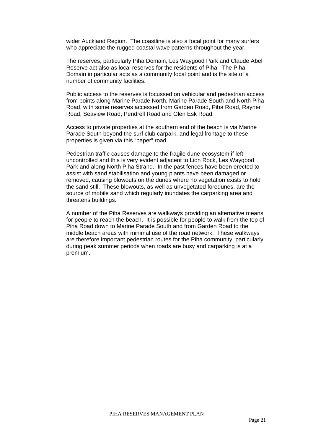wider Auckland Region. The coastline is also a focal point for many surfers who appreciate the rugged coastal wave patterns throughout the year.

The reserves, particularly Piha Domain, Les Waygood Park and Claude Abel Reserve act also as local reserves for the residents of Piha. The Piha Domain in particular acts as a community focal point and is the site of a number of community facilities.

Public access to the reserves is focussed on vehicular and pedestrian access from points along Marine Parade North, Marine Parade South and North Piha Road, with some reserves accessed from Garden Road, Piha Road, Rayner Road, Seaview Road, Pendrell Road and Glen Esk Road.

Access to private properties at the southern end of the beach is via Marine Parade South beyond the surf club carpark, and legal frontage to these properties is given via this "paper" road.

Pedestrian traffic causes damage to the fragile dune ecosystem if left uncontrolled and this is very evident adjacent to Lion Rock, Les Waygood Park and along North Piha Strand. In the past fences have been erected to assist with sand stabilisation and young plants have been damaged or removed, causing blowouts on the dunes where no vegetation exists to hold the sand still. These blowouts, as well as unvegetated foredunes, are the source of mobile sand which regularly inundates the carparking area and threatens buildings.

A number of the Piha Reserves are walkways providing an alternative means for people to reach the beach. It is possible for people to walk from the top of Piha Road down to Marine Parade South and from Garden Road to the middle beach areas with minimal use of the road network. These walkways are therefore important pedestrian routes for the Piha community, particularly during peak summer periods when roads are busy and carparking is at a premium.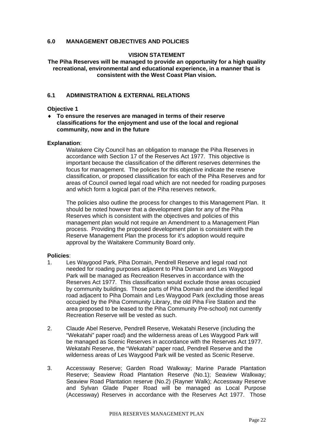## **6.0 MANAGEMENT OBJECTIVES AND POLICIES**

## **VISION STATEMENT**

**The Piha Reserves will be managed to provide an opportunity for a high quality recreational, environmental and educational experience, in a manner that is consistent with the West Coast Plan vision.** 

## **6.1 ADMINISTRATION & EXTERNAL RELATIONS**

#### **Objective 1**

♦ **To ensure the reserves are managed in terms of their reserve classifications for the enjoyment and use of the local and regional community, now and in the future** 

#### **Explanation**:

Waitakere City Council has an obligation to manage the Piha Reserves in accordance with Section 17 of the Reserves Act 1977. This objective is important because the classification of the different reserves determines the focus for management. The policies for this objective indicate the reserve classification, or proposed classification for each of the Piha Reserves and for areas of Council owned legal road which are not needed for roading purposes and which form a logical part of the Piha reserves network.

The policies also outline the process for changes to this Management Plan. It should be noted however that a development plan for any of the Piha Reserves which is consistent with the objectives and policies of this management plan would not require an Amendment to a Management Plan process. Providing the proposed development plan is consistent with the Reserve Management Plan the process for it's adoption would require approval by the Waitakere Community Board only.

- 1. Les Waygood Park, Piha Domain, Pendrell Reserve and legal road not needed for roading purposes adjacent to Piha Domain and Les Waygood Park will be managed as Recreation Reserves in accordance with the Reserves Act 1977. This classification would exclude those areas occupied by community buildings. Those parts of Piha Domain and the identified legal road adjacent to Piha Domain and Les Waygood Park (excluding those areas occupied by the Piha Community Library, the old Piha Fire Station and the area proposed to be leased to the Piha Community Pre-school) not currently Recreation Reserve will be vested as such.
- 2. Claude Abel Reserve, Pendrell Reserve, Wekatahi Reserve (including the "Wekatahi" paper road) and the wilderness areas of Les Waygood Park will be managed as Scenic Reserves in accordance with the Reserves Act 1977. Wekatahi Reserve, the "Wekatahi" paper road, Pendrell Reserve and the wilderness areas of Les Waygood Park will be vested as Scenic Reserve.
- 3. Accessway Reserve; Garden Road Walkway; Marine Parade Plantation Reserve; Seaview Road Plantation Reserve (No.1); Seaview Walkway; Seaview Road Plantation reserve (No.2) (Rayner Walk); Accessway Reserve and Sylvan Glade Paper Road will be managed as Local Purpose (Accessway) Reserves in accordance with the Reserves Act 1977. Those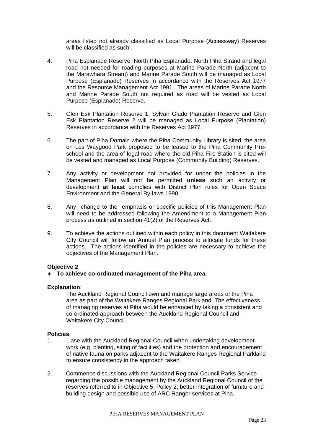areas listed not already classified as Local Purpose (Accessway) Reserves will be classified as such .

- 4. Piha Esplanade Reserve, North Piha Esplanade, North Piha Strand and legal road not needed for roading purposes at Marine Parade North (adjacent to the Marawhara Stream) and Marine Parade South will be managed as Local Purpose (Esplanade) Reserves in accordance with the Reserves Act 1977 and the Resource Management Act 1991. The areas of Marine Parade North and Marine Parade South not required as road will be vested as Local Purpose (Esplanade) Reserve.
- 5. Glen Esk Plantation Reserve 1, Sylvan Glade Plantation Reserve and Glen Esk Plantation Reserve 2 will be managed as Local Purpose (Plantation) Reserves in accordance with the Reserves Act 1977.
- 6. The part of Piha Domain where the Piha Community Library is sited, the area on Les Waygood Park proposed to be leased to the Piha Community Preschool and the area of legal road where the old Piha Fire Station is sited will be vested and managed as Local Purpose (Community Building) Reserves.
- 7. Any activity or development not provided for under the policies in the Management Plan will not be permitted **unless** such an activity or development **at least** complies with District Plan rules for Open Space Environment and the General By-laws 1990.
- 8. Any change to the emphasis or specific policies of this Management Plan will need to be addressed following the Amendment to a Management Plan process as outlined in section 41(2) of the Reserves Act.
- 9. To achieve the actions outlined within each policy in this document Waitakere City Council will follow an Annual Plan process to allocate funds for these actions. The actions identified in the policies are necessary to achieve the objectives of the Management Plan.

## **Objective 2**

♦ **To achieve co-ordinated management of the Piha area.** 

### **Explanation**:

The Auckland Regional Council own and manage large areas of the Piha area as part of the Waitakere Ranges Regional Parkland. The effectiveness of managing reserves at Piha would be enhanced by taking a consistent and co-ordinated approach between the Auckland Regional Council and Waitakere City Council.

- 1. Liase with the Auckland Regional Council when undertaking development work (e.g. planting, siting of facilities) and the protection and encouragement of native fauna on parks adjacent to the Waitakere Ranges Regional Parkland to ensure consistency in the approach taken.
- 2. Commence discussions with the Auckland Regional Council Parks Service regarding the possible management by the Auckland Regional Council of the reserves referred to in Objective 5, Policy 2; better integration of furniture and building design and possible use of ARC Ranger services at Piha.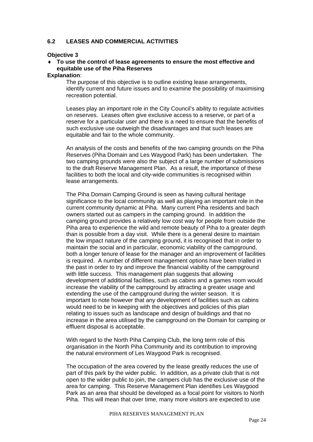## **6.2 LEASES AND COMMERCIAL ACTIVITIES**

#### **Objective 3**

## ♦ **To use the control of lease agreements to ensure the most effective and equitable use of the Piha Reserves**

#### **Explanation**:

The purpose of this objective is to outline existing lease arrangements, identify current and future issues and to examine the possibility of maximising recreation potential.

Leases play an important role in the City Council's ability to regulate activities on reserves. Leases often give exclusive access to a reserve, or part of a reserve for a particular user and there is a need to ensure that the benefits of such exclusive use outweigh the disadvantages and that such leases are equitable and fair to the whole community.

An analysis of the costs and benefits of the two camping grounds on the Piha Reserves (Piha Domain and Les Waygood Park) has been undertaken. The two camping grounds were also the subject of a large number of submissions to the draft Reserve Management Plan. As a result, the importance of these facilities to both the local and city-wide communities is recognised within lease arrangements.

The Piha Domain Camping Ground is seen as having cultural heritage significance to the local community as well as playing an important role in the current community dynamic at Piha. Many current Piha residents and bach owners started out as campers in the camping ground. In addition the camping ground provides a relatively low cost way for people from outside the Piha area to experience the wild and remote beauty of Piha to a greater depth than is possible from a day visit. While there is a general desire to maintain the low impact nature of the camping ground, it is recognised that in order to maintain the social and in particular, economic viability of the campground, both a longer tenure of lease for the manager and an improvement of facilities is required. A number of different management options have been trialled in the past in order to try and improve the financial viability of the campground with little success. This management plan suggests that allowing development of additional facilities, such as cabins and a games room would increase the viability of the campground by attracting a greater usage and extending the use of the campground during the winter season. It is important to note however that any development of facilities such as cabins would need to be in keeping with the objectives and policies of this plan relating to issues such as landscape and design of buildings and that no increase in the area utilised by the campground on the Domain for camping or effluent disposal is acceptable.

With regard to the North Piha Camping Club, the long term role of this organisation in the North Piha Community and its contribution to improving the natural environment of Les Waygood Park is recognised.

The occupation of the area covered by the lease greatly reduces the use of part of this park by the wider public. In addition, as a private club that is not open to the wider public to join, the campers club has the exclusive use of the area for camping. This Reserve Management Plan identifies Les Waygood Park as an area that should be developed as a focal point for visitors to North Piha. This will mean that over time, many more visitors are expected to use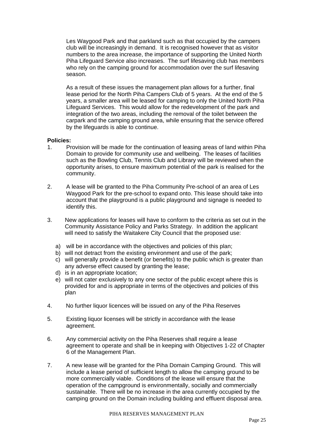Les Waygood Park and that parkland such as that occupied by the campers club will be increasingly in demand. It is recognised however that as visitor numbers to the area increase, the importance of supporting the United North Piha Lifeguard Service also increases. The surf lifesaving club has members who rely on the camping ground for accommodation over the surf lifesaving season.

As a result of these issues the management plan allows for a further, final lease period for the North Piha Campers Club of 5 years. At the end of the 5 years, a smaller area will be leased for camping to only the United North Piha Lifeguard Services. This would allow for the redevelopment of the park and integration of the two areas, including the removal of the toilet between the carpark and the camping ground area, while ensuring that the service offered by the lifeguards is able to continue.

- 1. Provision will be made for the continuation of leasing areas of land within Piha Domain to provide for community use and wellbeing. The leases of facilities such as the Bowling Club, Tennis Club and Library will be reviewed when the opportunity arises, to ensure maximum potential of the park is realised for the community.
- 2. A lease will be granted to the Piha Community Pre-school of an area of Les Waygood Park for the pre-school to expand onto. This lease should take into account that the playground is a public playground and signage is needed to identify this.
- 3. New applications for leases will have to conform to the criteria as set out in the Community Assistance Policy and Parks Strategy. In addition the applicant will need to satisfy the Waitakere City Council that the proposed use:
	- a) will be in accordance with the objectives and policies of this plan;
	- b) will not detract from the existing environment and use of the park;
	- c) will generally provide a benefit (or benefits) to the public which is greater than any adverse effect caused by granting the lease;
	- d) is in an appropriate location;
	- e) will not cater exclusively to any one sector of the public except where this is provided for and is appropriate in terms of the objectives and policies of this plan
- 4. No further liquor licences will be issued on any of the Piha Reserves
- 5. Existing liquor licenses will be strictly in accordance with the lease agreement.
- 6. Any commercial activity on the Piha Reserves shall require a lease agreement to operate and shall be in keeping with Objectives 1-22 of Chapter 6 of the Management Plan.
- 7. A new lease will be granted for the Piha Domain Camping Ground. This will include a lease period of sufficient length to allow the camping ground to be more commercially viable. Conditions of the lease will ensure that the operation of the campground is environmentally, socially and commercially sustainable. There will be no increase in the area currently occupied by the camping ground on the Domain including building and effluent disposal area.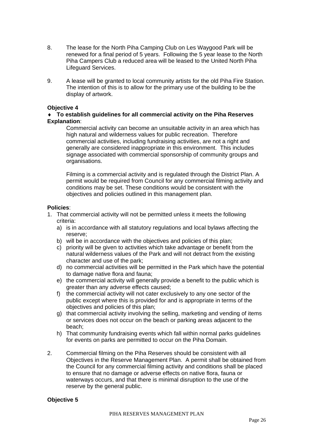- 8. The lease for the North Piha Camping Club on Les Waygood Park will be renewed for a final period of 5 years. Following the 5 year lease to the North Piha Campers Club a reduced area will be leased to the United North Piha Lifeguard Services.
- 9. A lease will be granted to local community artists for the old Piha Fire Station. The intention of this is to allow for the primary use of the building to be the display of artwork.

## **Objective 4**

## ♦ **To establish guidelines for all commercial activity on the Piha Reserves Explanation**:

Commercial activity can become an unsuitable activity in an area which has high natural and wilderness values for public recreation. Therefore commercial activities, including fundraising activities, are not a right and generally are considered inappropriate in this environment. This includes signage associated with commercial sponsorship of community groups and organisations.

Filming is a commercial activity and is regulated through the District Plan. A permit would be required from Council for any commercial filming activity and conditions may be set. These conditions would be consistent with the objectives and policies outlined in this management plan.

## **Policies**:

- 1. That commercial activity will not be permitted unless it meets the following criteria:
	- a) is in accordance with all statutory regulations and local bylaws affecting the reserve;
	- b) will be in accordance with the objectives and policies of this plan;
	- c) priority will be given to activities which take advantage or benefit from the natural wilderness values of the Park and will not detract from the existing character and use of the park;
	- d) no commercial activities will be permitted in the Park which have the potential to damage native flora and fauna;
	- e) the commercial activity will generally provide a benefit to the public which is greater than any adverse effects caused;
	- f) the commercial activity will not cater exclusively to any one sector of the public except where this is provided for and is appropriate in terms of the objectives and policies of this plan;
	- g) that commercial activity involving the selling, marketing and vending of items or services does not occur on the beach or parking areas adjacent to the beach;
	- h) That community fundraising events which fall within normal parks guidelines for events on parks are permitted to occur on the Piha Domain.
- 2. Commercial filming on the Piha Reserves should be consistent with all Objectives in the Reserve Management Plan. A permit shall be obtained from the Council for any commercial filming activity and conditions shall be placed to ensure that no damage or adverse effects on native flora, fauna or waterways occurs, and that there is minimal disruption to the use of the reserve by the general public.

### **Objective 5**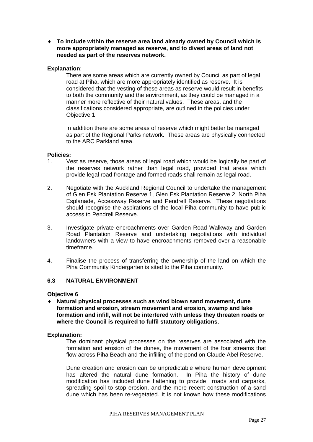♦ **To include within the reserve area land already owned by Council which is more appropriately managed as reserve, and to divest areas of land not needed as part of the reserves network.** 

## **Explanation**:

There are some areas which are currently owned by Council as part of legal road at Piha, which are more appropriately identified as reserve. It is considered that the vesting of these areas as reserve would result in benefits to both the community and the environment, as they could be managed in a manner more reflective of their natural values. These areas, and the classifications considered appropriate, are outlined in the policies under Objective 1.

In addition there are some areas of reserve which might better be managed as part of the Regional Parks network. These areas are physically connected to the ARC Parkland area.

### **Policies:**

- 1. Vest as reserve, those areas of legal road which would be logically be part of the reserves network rather than legal road, provided that areas which provide legal road frontage and formed roads shall remain as legal road.
- 2. Negotiate with the Auckland Regional Council to undertake the management of Glen Esk Plantation Reserve 1, Glen Esk Plantation Reserve 2, North Piha Esplanade, Accessway Reserve and Pendrell Reserve. These negotiations should recognise the aspirations of the local Piha community to have public access to Pendrell Reserve.
- 3. Investigate private encroachments over Garden Road Walkway and Garden Road Plantation Reserve and undertaking negotiations with individual landowners with a view to have encroachments removed over a reasonable timeframe.
- 4. Finalise the process of transferring the ownership of the land on which the Piha Community Kindergarten is sited to the Piha community.

## **6.3 NATURAL ENVIRONMENT**

### **Objective 6**

♦ **Natural physical processes such as wind blown sand movement, dune formation and erosion, stream movement and erosion, swamp and lake formation and infill, will not be interfered with unless they threaten roads or where the Council is required to fulfil statutory obligations.** 

### **Explanation:**

The dominant physical processes on the reserves are associated with the formation and erosion of the dunes, the movement of the four streams that flow across Piha Beach and the infilling of the pond on Claude Abel Reserve.

Dune creation and erosion can be unpredictable where human development has altered the natural dune formation. In Piha the history of dune modification has included dune flattening to provide roads and carparks, spreading spoil to stop erosion, and the more recent construction of a sand dune which has been re-vegetated. It is not known how these modifications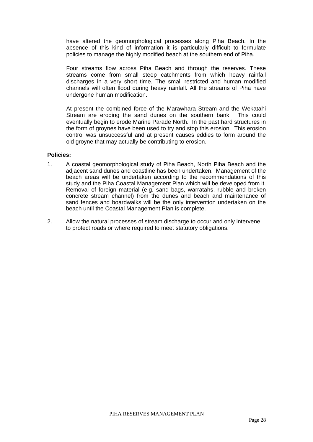have altered the geomorphological processes along Piha Beach. In the absence of this kind of information it is particularly difficult to formulate policies to manage the highly modified beach at the southern end of Piha.

Four streams flow across Piha Beach and through the reserves. These streams come from small steep catchments from which heavy rainfall discharges in a very short time. The small restricted and human modified channels will often flood during heavy rainfall. All the streams of Piha have undergone human modification.

At present the combined force of the Marawhara Stream and the Wekatahi Stream are eroding the sand dunes on the southern bank. This could eventually begin to erode Marine Parade North. In the past hard structures in the form of groynes have been used to try and stop this erosion. This erosion control was unsuccessful and at present causes eddies to form around the old groyne that may actually be contributing to erosion.

- 1. A coastal geomorphological study of Piha Beach, North Piha Beach and the adjacent sand dunes and coastline has been undertaken. Management of the beach areas will be undertaken according to the recommendations of this study and the Piha Coastal Management Plan which will be developed from it. Removal of foreign material (e.g. sand bags, warratahs, rubble and broken concrete stream channel) from the dunes and beach and maintenance of sand fences and boardwalks will be the only intervention undertaken on the beach until the Coastal Management Plan is complete.
- 2. Allow the natural processes of stream discharge to occur and only intervene to protect roads or where required to meet statutory obligations.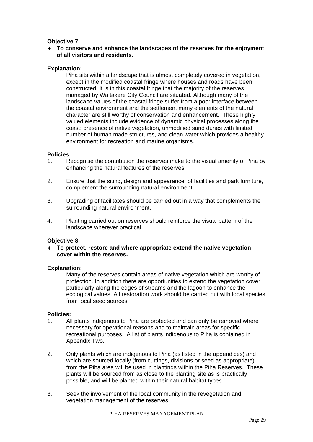## **Objective 7**

♦ **To conserve and enhance the landscapes of the reserves for the enjoyment of all visitors and residents.** 

## **Explanation:**

Piha sits within a landscape that is almost completely covered in vegetation, except in the modified coastal fringe where houses and roads have been constructed. It is in this coastal fringe that the majority of the reserves managed by Waitakere City Council are situated. Although many of the landscape values of the coastal fringe suffer from a poor interface between the coastal environment and the settlement many elements of the natural character are still worthy of conservation and enhancement. These highly valued elements include evidence of dynamic physical processes along the coast; presence of native vegetation, unmodified sand dunes with limited number of human made structures, and clean water which provides a healthy environment for recreation and marine organisms.

### **Policies:**

- 1. Recognise the contribution the reserves make to the visual amenity of Piha by enhancing the natural features of the reserves.
- 2. Ensure that the siting, design and appearance, of facilities and park furniture, complement the surrounding natural environment.
- 3. Upgrading of facilitates should be carried out in a way that complements the surrounding natural environment.
- 4. Planting carried out on reserves should reinforce the visual pattern of the landscape wherever practical.

### **Objective 8**

To protect, restore and where appropriate extend the native vegetation **cover within the reserves.** 

### **Explanation:**

Many of the reserves contain areas of native vegetation which are worthy of protection. In addition there are opportunities to extend the vegetation cover particularly along the edges of streams and the lagoon to enhance the ecological values. All restoration work should be carried out with local species from local seed sources.

- 1. All plants indigenous to Piha are protected and can only be removed where necessary for operational reasons and to maintain areas for specific recreational purposes. A list of plants indigenous to Piha is contained in Appendix Two.
- 2. Only plants which are indigenous to Piha (as listed in the appendices) and which are sourced locally (from cuttings, divisions or seed as appropriate) from the Piha area will be used in plantings within the Piha Reserves. These plants will be sourced from as close to the planting site as is practically possible, and will be planted within their natural habitat types.
- 3. Seek the involvement of the local community in the revegetation and vegetation management of the reserves.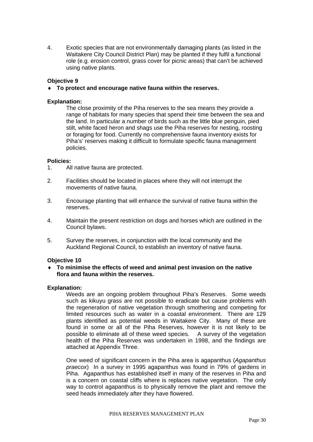4. Exotic species that are not environmentally damaging plants (as listed in the Waitakere City Council District Plan) may be planted if they fulfil a functional role (e.g. erosion control, grass cover for picnic areas) that can't be achieved using native plants.

## **Objective 9**

♦ **To protect and encourage native fauna within the reserves.** 

## **Explanation:**

The close proximity of the Piha reserves to the sea means they provide a range of habitats for many species that spend their time between the sea and the land. In particular a number of birds such as the little blue penguin, pied stilt, white faced heron and shags use the Piha reserves for nesting, roosting or foraging for food. Currently no comprehensive fauna inventory exists for Piha's' reserves making it difficult to formulate specific fauna management policies.

### **Policies:**

- 1. All native fauna are protected.
- 2. Facilities should be located in places where they will not interrupt the movements of native fauna.
- 3. Encourage planting that will enhance the survival of native fauna within the reserves.
- 4. Maintain the present restriction on dogs and horses which are outlined in the Council bylaws.
- 5. Survey the reserves, in conjunction with the local community and the Auckland Regional Council, to establish an inventory of native fauna.

### **Objective 10**

♦ **To minimise the effects of weed and animal pest invasion on the native flora and fauna within the reserves.** 

## **Explanation:**

Weeds are an ongoing problem throughout Piha's Reserves. Some weeds such as kikuyu grass are not possible to eradicate but cause problems with the regeneration of native vegetation through smothering and competing for limited resources such as water in a coastal environment. There are 129 plants identified as potential weeds in Waitakere City. Many of these are found in some or all of the Piha Reserves, however it is not likely to be possible to eliminate all of these weed species. A survey of the vegetation health of the Piha Reserves was undertaken in 1998, and the findings are attached at Appendix Three.

One weed of significant concern in the Piha area is agapanthus (*Agapanthus praecox*) In a survey in 1995 agapanthus was found in 79% of gardens in Piha. Agapanthus has established itself in many of the reserves in Piha and is a concern on coastal cliffs where is replaces native vegetation. The only way to control agapanthus is to physically remove the plant and remove the seed heads immediately after they have flowered.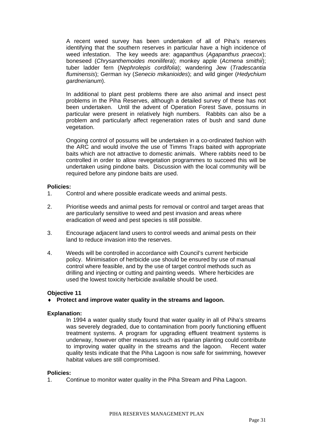A recent weed survey has been undertaken of all of Piha's reserves identifying that the southern reserves in particular have a high incidence of weed infestation. The key weeds are: agapanthus (*Agapanthus praecox*); boneseed (*Chrysanthemoides monilifera*); monkey apple (*Acmena smithii*); tuber ladder fern (*Nephrolepis cordifolia*); wandering Jew (*Tradescantia fluminensis*); German ivy (*Senecio mikanioides*); and wild ginger (*Hedychium gardnerianum*).

In additional to plant pest problems there are also animal and insect pest problems in the Piha Reserves, although a detailed survey of these has not been undertaken. Until the advent of Operation Forest Save, possums in particular were present in relatively high numbers. Rabbits can also be a problem and particularly affect regeneration rates of bush and sand dune vegetation.

Ongoing control of possums will be undertaken in a co-ordinated fashion with the ARC and would involve the use of Timms Traps baited with appropriate baits which are not attractive to domestic animals. Where rabbits need to be controlled in order to allow revegetation programmes to succeed this will be undertaken using pindone baits. Discussion with the local community will be required before any pindone baits are used.

### **Policies:**

- 1. Control and where possible eradicate weeds and animal pests.
- 2. Prioritise weeds and animal pests for removal or control and target areas that are particularly sensitive to weed and pest invasion and areas where eradication of weed and pest species is still possible.
- 3. Encourage adjacent land users to control weeds and animal pests on their land to reduce invasion into the reserves.
- 4. Weeds will be controlled in accordance with Council's current herbicide policy. Minimisation of herbicide use should be ensured by use of manual control where feasible, and by the use of target control methods such as drilling and injecting or cutting and painting weeds. Where herbicides are used the lowest toxicity herbicide available should be used.

## **Objective 11**

♦ **Protect and improve water quality in the streams and lagoon.** 

### **Explanation:**

In 1994 a water quality study found that water quality in all of Piha's streams was severely degraded, due to contamination from poorly functioning effluent treatment systems. A program for upgrading effluent treatment systems is underway, however other measures such as riparian planting could contribute to improving water quality in the streams and the lagoon. Recent water quality tests indicate that the Piha Lagoon is now safe for swimming, however habitat values are still compromised.

### **Policies:**

1. Continue to monitor water quality in the Piha Stream and Piha Lagoon.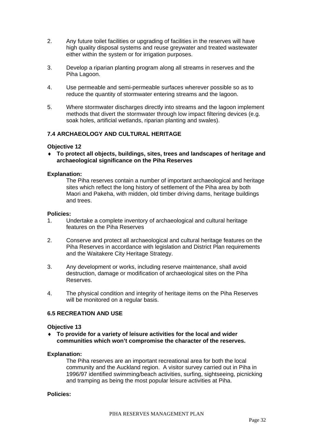- 2. Any future toilet facilities or upgrading of facilities in the reserves will have high quality disposal systems and reuse greywater and treated wastewater either within the system or for irrigation purposes.
- 3. Develop a riparian planting program along all streams in reserves and the Piha Lagoon.
- 4. Use permeable and semi-permeable surfaces wherever possible so as to reduce the quantity of stormwater entering streams and the lagoon.
- 5. Where stormwater discharges directly into streams and the lagoon implement methods that divert the stormwater through low impact filtering devices (e.g. soak holes, artificial wetlands, riparian planting and swales).

## **7.4 ARCHAEOLOGY AND CULTURAL HERITAGE**

### **Objective 12**

♦ **To protect all objects, buildings, sites, trees and landscapes of heritage and archaeological significance on the Piha Reserves** 

#### **Explanation:**

The Piha reserves contain a number of important archaeological and heritage sites which reflect the long history of settlement of the Piha area by both Maori and Pakeha, with midden, old timber driving dams, heritage buildings and trees.

#### **Policies:**

- 1. Undertake a complete inventory of archaeological and cultural heritage features on the Piha Reserves
- 2. Conserve and protect all archaeological and cultural heritage features on the Piha Reserves in accordance with legislation and District Plan requirements and the Waitakere City Heritage Strategy.
- 3. Any development or works, including reserve maintenance, shall avoid destruction, damage or modification of archaeological sites on the Piha Reserves.
- 4. The physical condition and integrity of heritage items on the Piha Reserves will be monitored on a regular basis.

## **6.5 RECREATION AND USE**

#### **Objective 13**

♦ **To provide for a variety of leisure activities for the local and wider communities which won't compromise the character of the reserves.** 

#### **Explanation:**

The Piha reserves are an important recreational area for both the local community and the Auckland region. A visitor survey carried out in Piha in 1996/97 identified swimming/beach activities, surfing, sightseeing, picnicking and tramping as being the most popular leisure activities at Piha.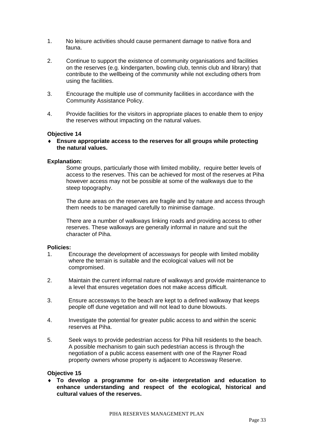- 1. No leisure activities should cause permanent damage to native flora and fauna.
- 2. Continue to support the existence of community organisations and facilities on the reserves (e.g. kindergarten, bowling club, tennis club and library) that contribute to the wellbeing of the community while not excluding others from using the facilities.
- 3. Encourage the multiple use of community facilities in accordance with the Community Assistance Policy.
- 4. Provide facilities for the visitors in appropriate places to enable them to enjoy the reserves without impacting on the natural values.

### **Objective 14**

♦ **Ensure appropriate access to the reserves for all groups while protecting the natural values.** 

### **Explanation:**

Some groups, particularly those with limited mobility, require better levels of access to the reserves. This can be achieved for most of the reserves at Piha however access may not be possible at some of the walkways due to the steep topography.

The dune areas on the reserves are fragile and by nature and access through them needs to be managed carefully to minimise damage.

There are a number of walkways linking roads and providing access to other reserves. These walkways are generally informal in nature and suit the character of Piha.

### **Policies:**

- 1. Encourage the development of accessways for people with limited mobility where the terrain is suitable and the ecological values will not be compromised.
- 2. Maintain the current informal nature of walkways and provide maintenance to a level that ensures vegetation does not make access difficult.
- 3. Ensure accessways to the beach are kept to a defined walkway that keeps people off dune vegetation and will not lead to dune blowouts.
- 4. Investigate the potential for greater public access to and within the scenic reserves at Piha.
- 5. Seek ways to provide pedestrian access for Piha hill residents to the beach. A possible mechanism to gain such pedestrian access is through the negotiation of a public access easement with one of the Rayner Road property owners whose property is adjacent to Accessway Reserve.

## **Objective 15**

♦ **To develop a programme for on-site interpretation and education to enhance understanding and respect of the ecological, historical and cultural values of the reserves.**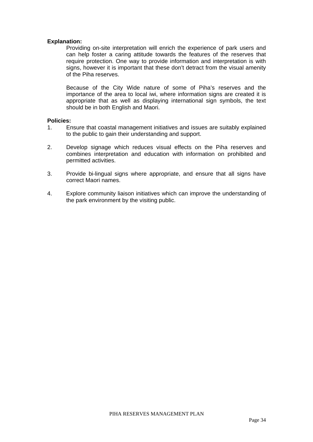## **Explanation:**

Providing on-site interpretation will enrich the experience of park users and can help foster a caring attitude towards the features of the reserves that require protection. One way to provide information and interpretation is with signs, however it is important that these don't detract from the visual amenity of the Piha reserves.

Because of the City Wide nature of some of Piha's reserves and the importance of the area to local iwi, where information signs are created it is appropriate that as well as displaying international sign symbols, the text should be in both English and Maori.

- 1. Ensure that coastal management initiatives and issues are suitably explained to the public to gain their understanding and support.
- 2. Develop signage which reduces visual effects on the Piha reserves and combines interpretation and education with information on prohibited and permitted activities.
- 3. Provide bi-lingual signs where appropriate, and ensure that all signs have correct Maori names.
- 4. Explore community liaison initiatives which can improve the understanding of the park environment by the visiting public.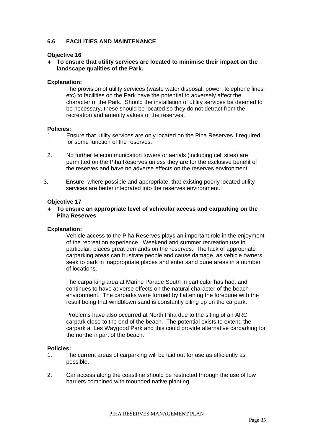## **6.6 FACILITIES AND MAINTENANCE**

## **Objective 16**

♦ **To ensure that utility services are located to minimise their impact on the landscape qualities of the Park.** 

## **Explanation:**

The provision of utility services (waste water disposal, power, telephone lines etc) to facilities on the Park have the potential to adversely affect the character of the Park. Should the installation of utility services be deemed to be necessary, these should be located so they do not detract from the recreation and amenity values of the reserves.

### **Policies:**

- 1. Ensure that utility services are only located on the Piha Reserves if required for some function of the reserves.
- 2. No further telecommunication towers or aerials (including cell sites) are permitted on the Piha Reserves unless they are for the exclusive benefit of the reserves and have no adverse effects on the reserves environment.
- 3. Ensure, where possible and appropriate, that existing poorly located utility services are better integrated into the reserves environment.

### **Objective 17**

♦ **To ensure an appropriate level of vehicular access and carparking on the Piha Reserves** 

## **Explanation:**

Vehicle access to the Piha Reserves plays an important role in the enjoyment of the recreation experience. Weekend and summer recreation use in particular, places great demands on the reserves. The lack of appropriate carparking areas can frustrate people and cause damage, as vehicle owners seek to park in inappropriate places and enter sand dune areas in a number of locations.

The carparking area at Marine Parade South in particular has had, and continues to have adverse effects on the natural character of the beach environment. The carparks were formed by flattening the foredune with the result being that windblown sand is constantly piling up on the carpark.

Problems have also occurred at North Piha due to the siting of an ARC carpark close to the end of the beach. The potential exists to extend the carpark at Les Waygood Park and this could provide alternative carparking for the northern part of the beach.

- 1. The current areas of carparking will be laid out for use as efficiently as possible.
- 2. Car access along the coastline should be restricted through the use of low barriers combined with mounded native planting.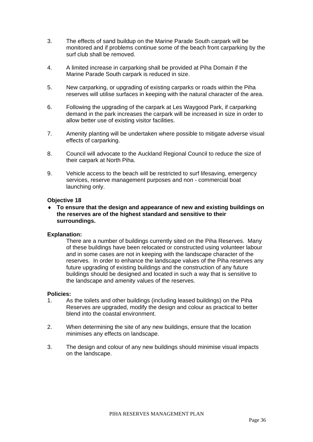- 3. The effects of sand buildup on the Marine Parade South carpark will be monitored and if problems continue some of the beach front carparking by the surf club shall be removed.
- 4. A limited increase in carparking shall be provided at Piha Domain if the Marine Parade South carpark is reduced in size.
- 5. New carparking, or upgrading of existing carparks or roads within the Piha reserves will utilise surfaces in keeping with the natural character of the area.
- 6. Following the upgrading of the carpark at Les Waygood Park, if carparking demand in the park increases the carpark will be increased in size in order to allow better use of existing visitor facilities.
- 7. Amenity planting will be undertaken where possible to mitigate adverse visual effects of carparking.
- 8. Council will advocate to the Auckland Regional Council to reduce the size of their carpark at North Piha.
- 9. Vehicle access to the beach will be restricted to surf lifesaving, emergency services, reserve management purposes and non - commercial boat launching only.

### **Objective 18**

♦ **To ensure that the design and appearance of new and existing buildings on the reserves are of the highest standard and sensitive to their surroundings.** 

### **Explanation:**

There are a number of buildings currently sited on the Piha Reserves. Many of these buildings have been relocated or constructed using volunteer labour and in some cases are not in keeping with the landscape character of the reserves. In order to enhance the landscape values of the Piha reserves any future upgrading of existing buildings and the construction of any future buildings should be designed and located in such a way that is sensitive to the landscape and amenity values of the reserves.

### **Policies:**

- 1. As the toilets and other buildings (including leased buildings) on the Piha Reserves are upgraded, modify the design and colour as practical to better blend into the coastal environment.
- 2. When determining the site of any new buildings, ensure that the location minimises any effects on landscape.
- 3. The design and colour of any new buildings should minimise visual impacts on the landscape.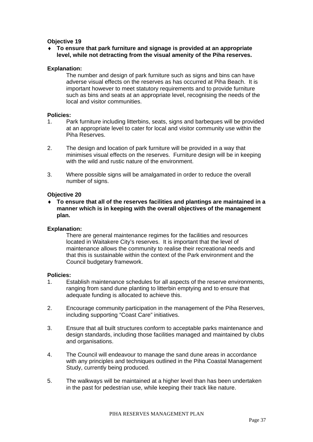### **Objective 19**

### ♦ **To ensure that park furniture and signage is provided at an appropriate level, while not detracting from the visual amenity of the Piha reserves.**

### **Explanation:**

The number and design of park furniture such as signs and bins can have adverse visual effects on the reserves as has occurred at Piha Beach. It is important however to meet statutory requirements and to provide furniture such as bins and seats at an appropriate level, recognising the needs of the local and visitor communities.

### **Policies:**

- 1. Park furniture including litterbins, seats, signs and barbeques will be provided at an appropriate level to cater for local and visitor community use within the Piha Reserves.
- 2. The design and location of park furniture will be provided in a way that minimises visual effects on the reserves. Furniture design will be in keeping with the wild and rustic nature of the environment.
- 3. Where possible signs will be amalgamated in order to reduce the overall number of signs.

### **Objective 20**

♦ **To ensure that all of the reserves facilities and plantings are maintained in a manner which is in keeping with the overall objectives of the management plan.** 

### **Explanation:**

There are general maintenance regimes for the facilities and resources located in Waitakere City's reserves. It is important that the level of maintenance allows the community to realise their recreational needs and that this is sustainable within the context of the Park environment and the Council budgetary framework.

#### **Policies:**

- 1. Establish maintenance schedules for all aspects of the reserve environments, ranging from sand dune planting to litterbin emptying and to ensure that adequate funding is allocated to achieve this.
- 2. Encourage community participation in the management of the Piha Reserves, including supporting "Coast Care" initiatives.
- 3. Ensure that all built structures conform to acceptable parks maintenance and design standards, including those facilities managed and maintained by clubs and organisations.
- 4. The Council will endeavour to manage the sand dune areas in accordance with any principles and techniques outlined in the Piha Coastal Management Study, currently being produced.
- 5. The walkways will be maintained at a higher level than has been undertaken in the past for pedestrian use, while keeping their track like nature.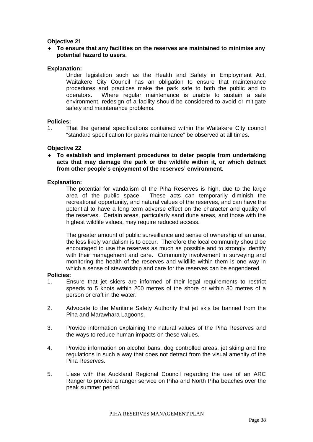### **Objective 21**

♦ **To ensure that any facilities on the reserves are maintained to minimise any potential hazard to users.** 

### **Explanation:**

Under legislation such as the Health and Safety in Employment Act, Waitakere City Council has an obligation to ensure that maintenance procedures and practices make the park safe to both the public and to operators. Where regular maintenance is unable to sustain a safe environment, redesign of a facility should be considered to avoid or mitigate safety and maintenance problems.

### **Policies:**

1. That the general specifications contained within the Waitakere City council "standard specification for parks maintenance" be observed at all times.

### **Objective 22**

♦ **To establish and implement procedures to deter people from undertaking acts that may damage the park or the wildlife within it, or which detract from other people's enjoyment of the reserves' environment.** 

### **Explanation:**

The potential for vandalism of the Piha Reserves is high, due to the large area of the public space. These acts can temporarily diminish the recreational opportunity, and natural values of the reserves, and can have the potential to have a long term adverse effect on the character and quality of the reserves. Certain areas, particularly sand dune areas, and those with the highest wildlife values, may require reduced access.

The greater amount of public surveillance and sense of ownership of an area, the less likely vandalism is to occur. Therefore the local community should be encouraged to use the reserves as much as possible and to strongly identify with their management and care. Community involvement in surveying and monitoring the health of the reserves and wildlife within them is one way in which a sense of stewardship and care for the reserves can be engendered.

### **Policies:**

- 1. Ensure that jet skiers are informed of their legal requirements to restrict speeds to 5 knots within 200 metres of the shore or within 30 metres of a person or craft in the water.
- 2. Advocate to the Maritime Safety Authority that jet skis be banned from the Piha and Marawhara Lagoons.
- 3. Provide information explaining the natural values of the Piha Reserves and the ways to reduce human impacts on these values.
- 4. Provide information on alcohol bans, dog controlled areas, jet skiing and fire regulations in such a way that does not detract from the visual amenity of the Piha Reserves.
- 5. Liase with the Auckland Regional Council regarding the use of an ARC Ranger to provide a ranger service on Piha and North Piha beaches over the peak summer period.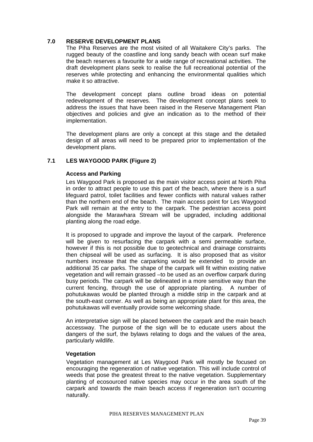### **7.0 RESERVE DEVELOPMENT PLANS**

The Piha Reserves are the most visited of all Waitakere City's parks. The rugged beauty of the coastline and long sandy beach with ocean surf make the beach reserves a favourite for a wide range of recreational activities. The draft development plans seek to realise the full recreational potential of the reserves while protecting and enhancing the environmental qualities which make it so attractive.

The development concept plans outline broad ideas on potential redevelopment of the reserves. The development concept plans seek to address the issues that have been raised in the Reserve Management Plan objectives and policies and give an indication as to the method of their implementation.

The development plans are only a concept at this stage and the detailed design of all areas will need to be prepared prior to implementation of the development plans.

# **7.1 LES WAYGOOD PARK (Figure 2)**

# **Access and Parking**

Les Waygood Park is proposed as the main visitor access point at North Piha in order to attract people to use this part of the beach, where there is a surf lifeguard patrol, toilet facilities and fewer conflicts with natural values rather than the northern end of the beach. The main access point for Les Waygood Park will remain at the entry to the carpark. The pedestrian access point alongside the Marawhara Stream will be upgraded, including additional planting along the road edge.

It is proposed to upgrade and improve the layout of the carpark. Preference will be given to resurfacing the carpark with a semi permeable surface, however if this is not possible due to geotechnical and drainage constraints then chipseal will be used as surfacing. It is also proposed that as visitor numbers increase that the carparking would be extended to provide an additional 35 car parks. The shape of the carpark will fit within existing native vegetation and will remain grassed –to be used as an overflow carpark during busy periods. The carpark will be delineated in a more sensitive way than the current fencing, through the use of appropriate planting. A number of pohutukawas would be planted through a middle strip in the carpark and at the south-east corner. As well as being an appropriate plant for this area, the pohutukawas will eventually provide some welcoming shade.

An interpretative sign will be placed between the carpark and the main beach accessway. The purpose of the sign will be to educate users about the dangers of the surf, the bylaws relating to dogs and the values of the area, particularly wildlife.

### **Vegetation**

Vegetation management at Les Waygood Park will mostly be focused on encouraging the regeneration of native vegetation. This will include control of weeds that pose the greatest threat to the native vegetation. Supplementary planting of ecosourced native species may occur in the area south of the carpark and towards the main beach access if regeneration isn't occurring naturally.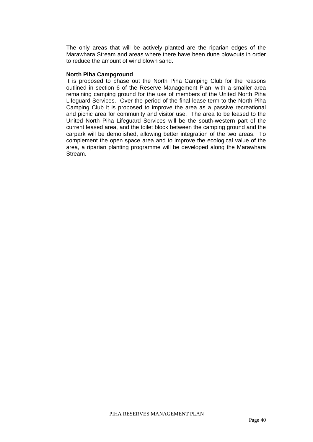The only areas that will be actively planted are the riparian edges of the Marawhara Stream and areas where there have been dune blowouts in order to reduce the amount of wind blown sand.

#### **North Piha Campground**

It is proposed to phase out the North Piha Camping Club for the reasons outlined in section 6 of the Reserve Management Plan, with a smaller area remaining camping ground for the use of members of the United North Piha Lifeguard Services. Over the period of the final lease term to the North Piha Camping Club it is proposed to improve the area as a passive recreational and picnic area for community and visitor use. The area to be leased to the United North Piha Lifeguard Services will be the south-western part of the current leased area, and the toilet block between the camping ground and the carpark will be demolished, allowing better integration of the two areas. To complement the open space area and to improve the ecological value of the area, a riparian planting programme will be developed along the Marawhara Stream.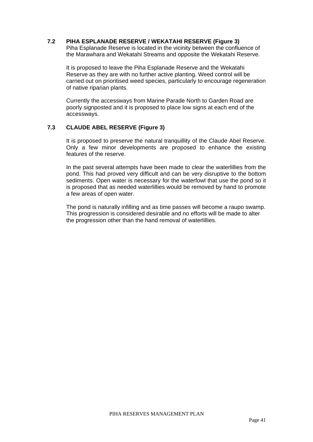### **7.2 PIHA ESPLANADE RESERVE / WEKATAHI RESERVE (Figure 3)**

Piha Esplanade Reserve is located in the vicinity between the confluence of the Marawhara and Wekatahi Streams and opposite the Wekatahi Reserve.

It is proposed to leave the Piha Esplanade Reserve and the Wekatahi Reserve as they are with no further active planting. Weed control will be carried out on prioritised weed species, particularly to encourage regeneration of native riparian plants.

Currently the accessways from Marine Parade North to Garden Road are poorly signposted and it is proposed to place low signs at each end of the accessways.

# **7.3 CLAUDE ABEL RESERVE (Figure 3)**

It is proposed to preserve the natural tranquillity of the Claude Abel Reserve. Only a few minor developments are proposed to enhance the existing features of the reserve.

In the past several attempts have been made to clear the waterlillies from the pond. This had proved very difficult and can be very disruptive to the bottom sediments. Open water is necessary for the waterfowl that use the pond so it is proposed that as needed waterlillies would be removed by hand to promote a few areas of open water.

The pond is naturally infilling and as time passes will become a raupo swamp. This progression is considered desirable and no efforts will be made to alter the progression other than the hand removal of waterlillies.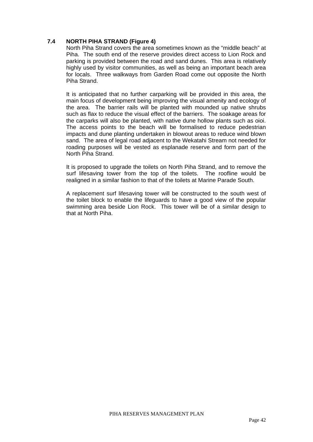# **7.4 NORTH PIHA STRAND (Figure 4)**

North Piha Strand covers the area sometimes known as the "middle beach" at Piha. The south end of the reserve provides direct access to Lion Rock and parking is provided between the road and sand dunes. This area is relatively highly used by visitor communities, as well as being an important beach area for locals. Three walkways from Garden Road come out opposite the North Piha Strand.

It is anticipated that no further carparking will be provided in this area, the main focus of development being improving the visual amenity and ecology of the area. The barrier rails will be planted with mounded up native shrubs such as flax to reduce the visual effect of the barriers. The soakage areas for the carparks will also be planted, with native dune hollow plants such as oioi. The access points to the beach will be formalised to reduce pedestrian impacts and dune planting undertaken in blowout areas to reduce wind blown sand. The area of legal road adjacent to the Wekatahi Stream not needed for roading purposes will be vested as esplanade reserve and form part of the North Piha Strand.

It is proposed to upgrade the toilets on North Piha Strand, and to remove the surf lifesaving tower from the top of the toilets. The roofline would be realigned in a similar fashion to that of the toilets at Marine Parade South.

A replacement surf lifesaving tower will be constructed to the south west of the toilet block to enable the lifeguards to have a good view of the popular swimming area beside Lion Rock. This tower will be of a similar design to that at North Piha.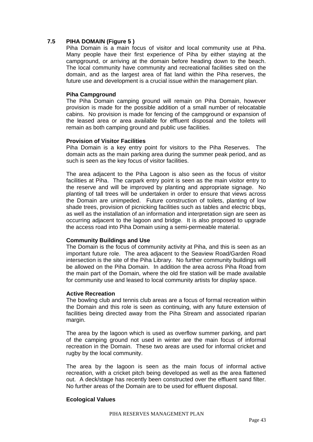# **7.5 PIHA DOMAIN (Figure 5 )**

Piha Domain is a main focus of visitor and local community use at Piha. Many people have their first experience of Piha by either staying at the campground, or arriving at the domain before heading down to the beach. The local community have community and recreational facilities sited on the domain, and as the largest area of flat land within the Piha reserves, the future use and development is a crucial issue within the management plan.

### **Piha Campground**

The Piha Domain camping ground will remain on Piha Domain, however provision is made for the possible addition of a small number of relocatable cabins. No provision is made for fencing of the campground or expansion of the leased area or area available for effluent disposal and the toilets will remain as both camping ground and public use facilities.

### **Provision of Visitor Facilities**

Piha Domain is a key entry point for visitors to the Piha Reserves. The domain acts as the main parking area during the summer peak period, and as such is seen as the key focus of visitor facilities.

The area adjacent to the Piha Lagoon is also seen as the focus of visitor facilities at Piha. The carpark entry point is seen as the main visitor entry to the reserve and will be improved by planting and appropriate signage. No planting of tall trees will be undertaken in order to ensure that views across the Domain are unimpeded. Future construction of toilets, planting of low shade trees, provision of picnicking facilities such as tables and electric bbqs, as well as the installation of an information and interpretation sign are seen as occurring adjacent to the lagoon and bridge. It is also proposed to upgrade the access road into Piha Domain using a semi-permeable material.

# **Community Buildings and Use**

The Domain is the focus of community activity at Piha, and this is seen as an important future role. The area adjacent to the Seaview Road/Garden Road intersection is the site of the Piha Library. No further community buildings will be allowed on the Piha Domain. In addition the area across Piha Road from the main part of the Domain, where the old fire station will be made available for community use and leased to local community artists for display space.

### **Active Recreation**

The bowling club and tennis club areas are a focus of formal recreation within the Domain and this role is seen as continuing, with any future extension of facilities being directed away from the Piha Stream and associated riparian margin.

The area by the lagoon which is used as overflow summer parking, and part of the camping ground not used in winter are the main focus of informal recreation in the Domain. These two areas are used for informal cricket and rugby by the local community.

The area by the lagoon is seen as the main focus of informal active recreation, with a cricket pitch being developed as well as the area flattened out. A deck/stage has recently been constructed over the effluent sand filter. No further areas of the Domain are to be used for effluent disposal.

# **Ecological Values**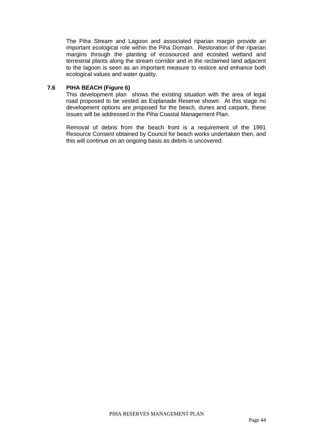The Piha Stream and Lagoon and associated riparian margin provide an important ecological role within the Piha Domain. Restoration of the riparian margins through the planting of ecosourced and ecosited wetland and terrestrial plants along the stream corridor and in the reclaimed land adjacent to the lagoon is seen as an important measure to restore and enhance both ecological values and water quality.

# **7.6 PIHA BEACH (Figure 6)**

This development plan shows the existing situation with the area of legal road proposed to be vested as Esplanade Reserve shown. At this stage no development options are proposed for the beach, dunes and carpark, these issues will be addressed in the Piha Coastal Management Plan.

Removal of debris from the beach front is a requirement of the 1991 Resource Consent obtained by Council for beach works undertaken then, and this will continue on an ongoing basis as debris is uncovered.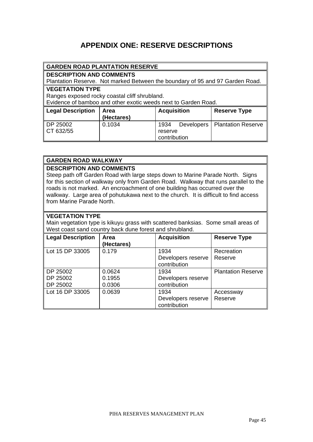# **APPENDIX ONE: RESERVE DESCRIPTIONS**

|                          | <b>GARDEN ROAD PLANTATION RESERVE</b>                                         |              |                   |                           |  |  |
|--------------------------|-------------------------------------------------------------------------------|--------------|-------------------|---------------------------|--|--|
|                          | <b>DESCRIPTION AND COMMENTS</b>                                               |              |                   |                           |  |  |
|                          | Plantation Reserve. Not marked Between the boundary of 95 and 97 Garden Road. |              |                   |                           |  |  |
| <b>VEGETATION TYPE</b>   |                                                                               |              |                   |                           |  |  |
|                          | Ranges exposed rocky coastal cliff shrubland.                                 |              |                   |                           |  |  |
|                          | Evidence of bamboo and other exotic weeds next to Garden Road.                |              |                   |                           |  |  |
| <b>Legal Description</b> | <b>Acquisition</b><br><b>Reserve Type</b><br>Area                             |              |                   |                           |  |  |
| (Hectares)               |                                                                               |              |                   |                           |  |  |
| DP 25002                 | 0.1034                                                                        | 1934         | <b>Developers</b> | <b>Plantation Reserve</b> |  |  |
| CT 632/55                |                                                                               | reserve      |                   |                           |  |  |
|                          |                                                                               | contribution |                   |                           |  |  |

# **GARDEN ROAD WALKWAY**

# **DESCRIPTION AND COMMENTS**

Steep path off Garden Road with large steps down to Marine Parade North. Signs for this section of walkway only from Garden Road. Walkway that runs parallel to the roads is not marked. An encroachment of one building has occurred over the walkway. Large area of pohutukawa next to the church. It is difficult to find access from Marine Parade North.

# **VEGETATION TYPE**

Main vegetation type is kikuyu grass with scattered banksias. Some small areas of West coast sand country back dune forest and shrubland.

| Legal Description                | Area<br>(Hectares)         | <b>Acquisition</b>                         | <b>Reserve Type</b>       |
|----------------------------------|----------------------------|--------------------------------------------|---------------------------|
| Lot 15 DP 33005                  | 0.179                      | 1934<br>Developers reserve<br>contribution | Recreation<br>Reserve     |
| DP 25002<br>DP 25002<br>DP 25002 | 0.0624<br>0.1955<br>0.0306 | 1934<br>Developers reserve<br>contribution | <b>Plantation Reserve</b> |
| Lot 16 DP 33005                  | 0.0639                     | 1934<br>Developers reserve<br>contribution | Accessway<br>Reserve      |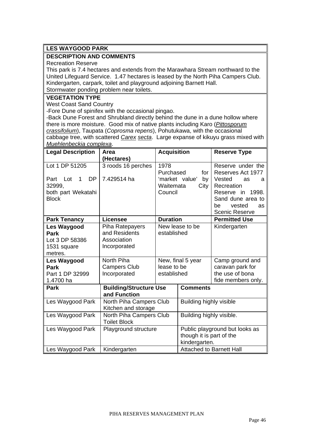# **LES WAYGOOD PARK**

# **DESCRIPTION AND COMMENTS**

Recreation Reserve

This park is 7.4 hectares and extends from the Marawhara Stream northward to the United Lifeguard Service. 1.47 hectares is leased by the North Piha Campers Club. Kindergarten, carpark, toilet and playground adjoining Barnett Hall. Stormwater ponding problem near toilets.

# **VEGETATION TYPE**

West Coast Sand Country

-Fore Dune of spinifex with the occasional pingao.

-Back Dune Forest and Shrubland directly behind the dune in a dune hollow where there is more moisture. Good mix of native plants including Karo (*Pittosporum crassifolium*), Taupata (*Coprosma repens*), Pohutukawa, with the occasional cabbage tree, with scattered *Carex secta*. Large expanse of kikuyu grass mixed with *Muehlenbeckia complexa*.

| <b>Legal Description</b>      | Area                                           | <b>Acquisition</b> |                                           | <b>Reserve Type</b>                         |
|-------------------------------|------------------------------------------------|--------------------|-------------------------------------------|---------------------------------------------|
|                               | (Hectares)                                     |                    |                                           |                                             |
| Lot 1 DP 51205                | 3 roods 16 perches                             | 1978<br>Purchased  | for                                       | Reserve under the<br>Reserves Act 1977      |
| <b>DP</b><br>Lot<br>Part<br>1 | 7.429514 ha                                    |                    | 'market value'<br>by                      | Vested<br>as<br>a                           |
| 32999.                        |                                                | Waitemata          | City                                      | Recreation                                  |
| both part Wekatahi            |                                                | Council            |                                           | Reserve in 1998.                            |
| <b>Block</b>                  |                                                |                    |                                           | Sand dune area to                           |
|                               |                                                |                    |                                           | vested<br>be<br>as<br><b>Scenic Reserve</b> |
| <b>Park Tenancy</b>           | <b>Licensee</b>                                | <b>Duration</b>    |                                           | <b>Permitted Use</b>                        |
| <b>Les Waygood</b>            | Piha Ratepayers                                |                    | New lease to be                           | Kindergarten                                |
| Park                          | and Residents                                  | established        |                                           |                                             |
| Lot 3 DP 58386                | Association                                    |                    |                                           |                                             |
| 1531 square                   | Incorporated                                   |                    |                                           |                                             |
| metres.                       |                                                |                    |                                           |                                             |
| Les Waygood                   | North Piha                                     |                    | New, final 5 year                         | Camp ground and                             |
| Park                          | <b>Campers Club</b>                            | lease to be        |                                           | caravan park for                            |
| Part 1 DP 32999               | Incorporated                                   | established        |                                           | the use of bona                             |
| 1.4700 ha                     |                                                |                    |                                           | fide members only.                          |
| <b>Park</b>                   | <b>Building/Structure Use</b><br>and Function  |                    | <b>Comments</b>                           |                                             |
| Les Waygood Park              | North Piha Campers Club<br>Kitchen and storage |                    | <b>Building highly visible</b>            |                                             |
| Les Waygood Park              | North Piha Campers Club                        |                    | Building highly visible.                  |                                             |
|                               | <b>Toilet Block</b>                            |                    |                                           |                                             |
| Les Waygood Park              | Playground structure                           |                    |                                           | Public playground but looks as              |
|                               |                                                |                    | though it is part of the<br>kindergarten. |                                             |
| Les Waygood Park              | Kindergarten                                   |                    | <b>Attached to Barnett Hall</b>           |                                             |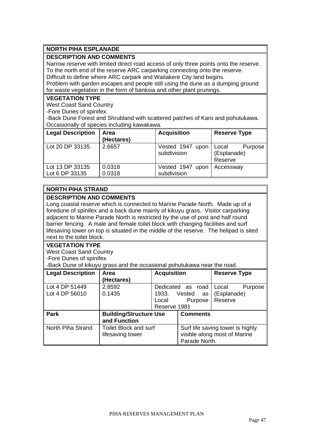# **NORTH PIHA ESPLANADE**

# **DESCRIPTION AND COMMENTS**

Narrow reserve with limited direct road access of only three points onto the reserve. To the north end of the reserve ARC carparking connecting onto the reserve.

Difficult to define where ARC carpark and Waitakere City land begins.

Problem with garden escapes and people still using the dune as a dumping ground for waste vegetation in the form of banksia and other plant prunings.

### **VEGETATION TYPE**

West Coast Sand Country

-Fore Dunes of spinifex

-Back Dune Forest and Shrubland with scattered patches of Karo and pohutukawa. Occasionally of species including kawakawa.

| Legal Description                 | Area<br>(Hectares) | <b>Acquisition</b>              | <b>Reserve Type</b>                        |
|-----------------------------------|--------------------|---------------------------------|--------------------------------------------|
| Lot 20 DP 33135                   | 2.6657             | Vested 1947 upon<br>subdivision | Local<br>Purpose<br>(Esplanade)<br>Reserve |
| Lot 13 DP 33135<br>Lot 6 DP 33135 | 0.0318<br>0.0318   | Vested 1947 upon<br>subdivision | Accessway                                  |

# **NORTH PIHA STRAND**

# **DESCRIPTION AND COMMENTS**

Long coastal reserve which is connected to Marine Parade North. Made up of a foredune of spinifex and a back dune mainly of kikuyu grass. Visitor carparking adjacent to Marine Parade North is restricted by the use of post and half round barrier fencing. A male and female toilet block with changing facilities and surf lifesaving tower on top is situated in the middle of the reserve. The helipad is sited next to the toilet block.

# **VEGETATION TYPE**

West Coast Sand Country -Fore Dunes of spinifex

-Back Dune of kikuyu grass and the occasional pohutukawa near the road.

| Legal Description | Area                          | <b>Acquisition</b> |                 | <b>Reserve Type</b>              |  |
|-------------------|-------------------------------|--------------------|-----------------|----------------------------------|--|
|                   | (Hectares)                    |                    |                 |                                  |  |
| Lot 4 DP 51449    | 2.8592                        | Dedicated as       | road            | Local<br>Purpose                 |  |
| Lot 4 DP 56010    | 0.1435                        | 1933.              | Vested<br>as    | (Esplanade)                      |  |
|                   |                               | Local              | Purpose         | Reserve                          |  |
|                   |                               | Reserve 1981       |                 |                                  |  |
| <b>Park</b>       | <b>Building/Structure Use</b> |                    | <b>Comments</b> |                                  |  |
|                   | and Function                  |                    |                 |                                  |  |
| North Piha Strand | <b>Toilet Block and surf</b>  |                    |                 | Surf life saving tower is highly |  |
|                   | lifesaving tower              |                    |                 | visible along most of Marine     |  |
|                   |                               |                    | Parade North.   |                                  |  |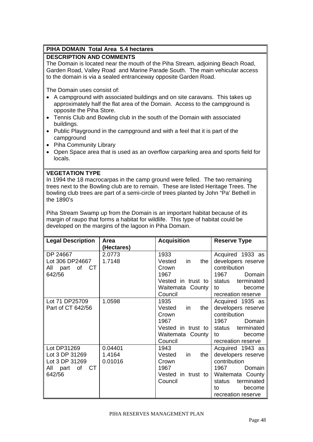# **PIHA DOMAIN Total Area 5.4 hectares**

# **DESCRIPTION AND COMMENTS**

The Domain is located near the mouth of the Piha Stream, adjoining Beach Road, Garden Road, Valley Road and Marine Parade South. The main vehicular access to the domain is via a sealed entranceway opposite Garden Road.

The Domain uses consist of:

- A campground with associated buildings and on site caravans. This takes up approximately half the flat area of the Domain. Access to the campground is opposite the Piha Store.
- Tennis Club and Bowling club in the south of the Domain with associated buildings.
- Public Playground in the campground and with a feel that it is part of the campground
- Piha Community Library
- Open Space area that is used as an overflow carparking area and sports field for locals.

# **VEGETATION TYPE**

In 1994 the 18 macrocarpas in the camp ground were felled. The two remaining trees next to the Bowling club are to remain. These are listed Heritage Trees. The bowling club trees are part of a semi-circle of trees planted by John "Pa' Bethell in the 1890's

Piha Stream Swamp up from the Domain is an important habitat because of its margin of raupo that forms a habitat for wildlife. This type of habitat could be developed on the margins of the lagoon in Piha Domain.

| <b>Legal Description</b> | Area       | <b>Acquisition</b>   | <b>Reserve Type</b>  |
|--------------------------|------------|----------------------|----------------------|
|                          | (Hectares) |                      |                      |
| DP 24667                 | 2.0773     | 1933                 | Acquired 1933 as     |
| Lot 306 DP24667          | 1.7148     | Vested<br>in<br>the  | developers reserve   |
| All part<br>of<br>CT     |            | Crown                | contribution         |
| 642/56                   |            | 1967                 | 1967<br>Domain       |
|                          |            | Vested in trust to   | terminated<br>status |
|                          |            | Waitemata County     | to<br>become         |
|                          |            | Council              | recreation reserve   |
| Lot 71 DP25709           | 1.0598     | 1935                 | Acquired 1935 as     |
| Part of CT 642/56        |            | Vested<br>the<br>in. | developers reserve   |
|                          |            | Crown                | contribution         |
|                          |            | 1967                 | 1967<br>Domain       |
|                          |            | Vested in trust to   | terminated<br>status |
|                          |            | Waitemata County     | become<br>to         |
|                          |            | Council              | recreation reserve   |
| Lot DP31269              | 0.04401    | 1943                 | Acquired 1943 as     |
| Lot 3 DP 31269           | 1.4164     | Vested<br>the<br>in. | developers reserve   |
| Lot 3 DP 31269           | 0.01016    | Crown                | contribution         |
| CT.<br>All part<br>of    |            | 1967                 | 1967<br>Domain       |
| 642/56                   |            | Vested in trust to   | Waitemata County     |
|                          |            | Council              | terminated<br>status |
|                          |            |                      | become<br>to         |
|                          |            |                      | recreation reserve   |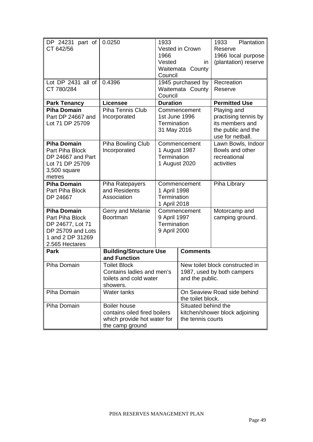| DP 24231 part of<br>CT 642/56                                                                                        | 0.0250                                                                                                | 1933<br>1966<br>Vested<br>Council                                    | Vested in Crown<br>in<br>Waitemata County                                        | Plantation<br>1933<br>Reserve<br>1966 local purpose<br>(plantation) reserve                      |
|----------------------------------------------------------------------------------------------------------------------|-------------------------------------------------------------------------------------------------------|----------------------------------------------------------------------|----------------------------------------------------------------------------------|--------------------------------------------------------------------------------------------------|
| Lot DP 2431 all of<br>CT 780/284                                                                                     | 0.4396                                                                                                | Council                                                              | 1945 purchased by<br>Waitemata County                                            | Recreation<br>Reserve                                                                            |
| <b>Park Tenancy</b>                                                                                                  | <b>Licensee</b>                                                                                       | <b>Duration</b>                                                      |                                                                                  | <b>Permitted Use</b>                                                                             |
| <b>Piha Domain</b><br>Part DP 24667 and<br>Lot 71 DP 25709                                                           | <b>Piha Tennis Club</b><br>Incorporated                                                               | 1st June 1996<br>Termination<br>31 May 2016                          | Commencement                                                                     | Playing and<br>practising tennis by<br>its members and<br>the public and the<br>use for netball. |
| <b>Piha Domain</b><br>Part Piha Block<br>DP 24667 and Part<br>Lot 71 DP 25709<br>3,500 square<br>metres              | Piha Bowling Club<br>Incorporated                                                                     | Commencement<br>1 August 1987<br><b>Termination</b><br>1 August 2020 |                                                                                  | Lawn Bowls, Indoor<br>Bowls and other<br>recreational<br>activities                              |
| <b>Piha Domain</b><br>Part Piha Block<br>DP 24667                                                                    | Piha Ratepayers<br>and Residents<br>Association                                                       | Commencement<br>1 April 1998<br>Termination<br>1 April 2018          |                                                                                  | Piha Library                                                                                     |
| <b>Piha Domain</b><br>Part Piha Block<br>DP 24677, Lot 71<br>DP 25709 and Lots<br>1 and 2 DP 31269<br>2.565 Hectares | Gerry and Melanie<br>Boortman                                                                         | Commencement<br>9 April 1997<br>Termination<br>9 April 2000          |                                                                                  | Motorcamp and<br>camping ground.                                                                 |
| Park                                                                                                                 | <b>Building/Structure Use</b><br>and Function                                                         |                                                                      | <b>Comments</b>                                                                  |                                                                                                  |
| Piha Domain                                                                                                          | <b>Toilet Block</b><br>Contains ladies and men's<br>toilets and cold water<br>showers.                |                                                                      | New toilet block constructed in<br>1987, used by both campers<br>and the public. |                                                                                                  |
| Piha Domain                                                                                                          | Water tanks                                                                                           |                                                                      | On Seaview Road side behind<br>the toilet block.                                 |                                                                                                  |
| Piha Domain                                                                                                          | <b>Boiler house</b><br>contains oiled fired boilers<br>which provide hot water for<br>the camp ground |                                                                      | Situated behind the<br>the tennis courts                                         | kitchen/shower block adjoining                                                                   |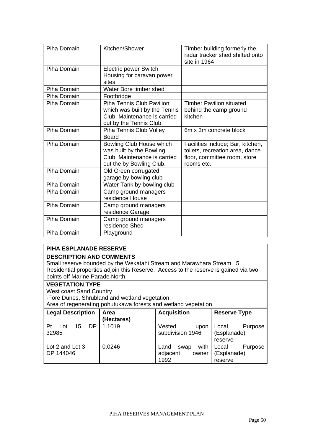| Piha Domain | Kitchen/Shower                                                                                                               | Timber building formerly the<br>radar tracker shed shifted onto<br>site in 1964                                    |
|-------------|------------------------------------------------------------------------------------------------------------------------------|--------------------------------------------------------------------------------------------------------------------|
| Piha Domain | <b>Electric power Switch</b><br>Housing for caravan power<br>sites                                                           |                                                                                                                    |
| Piha Domain | Water Bore timber shed                                                                                                       |                                                                                                                    |
| Piha Domain | Footbridge                                                                                                                   |                                                                                                                    |
| Piha Domain | <b>Piha Tennis Club Pavilion</b><br>which was built by the Tennis<br>Club. Maintenance is carried<br>out by the Tennis Club. | <b>Timber Pavilion situated</b><br>behind the camp ground<br>kitchen                                               |
| Piha Domain | Piha Tennis Club Volley<br>Board                                                                                             | 6m x 3m concrete block                                                                                             |
| Piha Domain | Bowling Club House which<br>was built by the Bowling<br>Club. Maintenance is carried<br>out the by Bowling Club.             | Facilities include; Bar, kitchen,<br>toilets, recreation area, dance<br>floor, committee room, store<br>rooms etc. |
| Piha Domain | Old Green corrugated<br>garage by bowling club                                                                               |                                                                                                                    |
| Piha Domain | Water Tank by bowling club                                                                                                   |                                                                                                                    |
| Piha Domain | Camp ground managers<br>residence House                                                                                      |                                                                                                                    |
| Piha Domain | Camp ground managers<br>residence Garage                                                                                     |                                                                                                                    |
| Piha Domain | Camp ground managers<br>residence Shed                                                                                       |                                                                                                                    |
| Piha Domain | Playground                                                                                                                   |                                                                                                                    |

# **PIHA ESPLANADE RESERVE**

# **DESCRIPTION AND COMMENTS**

Small reserve bounded by the Wekatahi Stream and Marawhara Stream. 5 Residential properties adjoin this Reserve. Access to the reserve is gained via two points off Marine Parade North.

### **VEGETATION TYPE**

West coast Sand Country

-Fore Dunes, Shrubland and wetland vegetation.

Area of regenerating pohutukawa forests and wetland vegetation.

| Legal Description                 | Area<br>(Hectares) | <b>Acquisition</b>                                | <b>Reserve Type</b>                        |
|-----------------------------------|--------------------|---------------------------------------------------|--------------------------------------------|
| ll Pt<br>DP<br>15<br>Lot<br>32985 | 1.1019             | Vested<br>upon<br>subdivision 1946                | Purpose<br>Local<br>(Esplanade)<br>reserve |
| Lot 2 and Lot 3<br>DP 144046      | 0.0246             | with<br>Land<br>swap<br>adjacent<br>owner<br>1992 | Purpose<br>Local<br>(Esplanade)<br>reserve |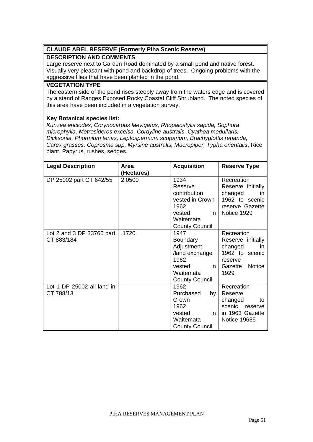# **CLAUDE ABEL RESERVE (Formerly Piha Scenic Reserve)**

# **DESCRIPTION AND COMMENTS**

Large reserve next to Garden Road dominated by a small pond and native forest. Visually very pleasant with pond and backdrop of trees. Ongoing problems with the aggressive lilies that have been planted in the pond.

### **VEGETATION TYPE**

The eastern side of the pond rises steeply away from the waters edge and is covered by a stand of Ranges Exposed Rocky Coastal Cliff Shrubland. The noted species of this area have been included in a vegetation survey.

# **Key Botanical species list:**

*Kunzea ericiodes, Corynocarpus laevigatus, Rhopalostylis sapida, Sophora microphylla, Metrosideros excelsa, Cordyline australis, Cyathea medullaris, Dicksonia, Phormium tenax, Leptospermum scoparium, Brachyglottis repanda, Carex grasses, Coprosma spp, Myrsine australis, Macropiper, Typha orientalis*, Rice plant, Papyrus, rushes, sedges.

| <b>Legal Description</b>   | Area       | <b>Acquisition</b>    | <b>Reserve Type</b>  |
|----------------------------|------------|-----------------------|----------------------|
|                            | (Hectares) |                       |                      |
| DP 25002 part CT 642/55    | 2.0500     | 1934                  | Recreation           |
|                            |            | Reserve               | Reserve initially    |
|                            |            | contribution          | changed<br><i>in</i> |
|                            |            | vested in Crown       | 1962 to scenic       |
|                            |            | 1962                  | reserve Gazette      |
|                            |            | in<br>vested          | Notice 1929          |
|                            |            | Waitemata             |                      |
|                            |            | <b>County Council</b> |                      |
| Lot 2 and 3 DP 33766 part  | .1720      | 1947                  | Recreation           |
| CT 883/184                 |            | <b>Boundary</b>       | Reserve initially    |
|                            |            | Adjustment            | changed<br><i>in</i> |
|                            |            | /land exchange        | 1962 to scenic       |
|                            |            | 1962                  | reserve              |
|                            |            | vested<br>in.         | Notice<br>Gazette    |
|                            |            | Waitemata             | 1929                 |
|                            |            | <b>County Council</b> |                      |
| Lot 1 DP 25002 all land in |            | 1962                  | Recreation           |
| CT 788/13                  |            | Purchased<br>by l     | Reserve              |
|                            |            | Crown                 | changed<br>to        |
|                            |            | 1962                  | scenic<br>reserve    |
|                            |            | vested<br>in.         | in 1963 Gazette      |
|                            |            | Waitemata             | <b>Notice 19635</b>  |
|                            |            | <b>County Council</b> |                      |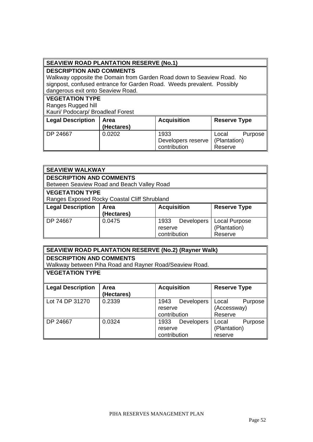# **SEAVIEW ROAD PLANTATION RESERVE (No.1)**

# **DESCRIPTION AND COMMENTS**

Walkway opposite the Domain from Garden Road down to Seaview Road. No signpost, confused entrance for Garden Road. Weeds prevalent. Possibly dangerous exit onto Seaview Road.

### **VEGETATION TYPE**

Ranges Rugged hill

Kauri/ Podocarp/ Broadleaf Forest

| Legal Description | Area<br>(Hectares) | <b>Acquisition</b> | <b>Reserve Type</b> |
|-------------------|--------------------|--------------------|---------------------|
| DP 24667          | 0.0202             | 1933               | Purpose  <br>Local  |
|                   |                    | Developers reserve | (Plantation)        |
|                   |                    | contribution       | Reserve             |

|                                 | <b>SEAVIEW WALKWAY</b>                            |                           |                      |  |  |
|---------------------------------|---------------------------------------------------|---------------------------|----------------------|--|--|
| <b>DESCRIPTION AND COMMENTS</b> |                                                   |                           |                      |  |  |
|                                 | Between Seaview Road and Beach Valley Road        |                           |                      |  |  |
| <b>VEGETATION TYPE</b>          |                                                   |                           |                      |  |  |
|                                 | Ranges Exposed Rocky Coastal Cliff Shrubland      |                           |                      |  |  |
| <b>Legal Description</b>        | <b>Acquisition</b><br><b>Reserve Type</b><br>Area |                           |                      |  |  |
|                                 | (Hectares)                                        |                           |                      |  |  |
| DP 24667                        | 0.0475                                            | 1933<br><b>Developers</b> | <b>Local Purpose</b> |  |  |
| (Plantation)<br>reserve         |                                                   |                           |                      |  |  |
|                                 |                                                   | contribution              | Reserve              |  |  |

| <b>SEAVIEW ROAD PLANTATION RESERVE (No.2) (Rayner Walk)</b> |                                                         |                           |                     |
|-------------------------------------------------------------|---------------------------------------------------------|---------------------------|---------------------|
| <b>DESCRIPTION AND COMMENTS</b>                             |                                                         |                           |                     |
|                                                             | Walkway between Piha Road and Rayner Road/Seaview Road. |                           |                     |
| <b>VEGETATION TYPE</b>                                      |                                                         |                           |                     |
|                                                             |                                                         |                           |                     |
| <b>Legal Description</b>                                    | <b>Area</b>                                             | <b>Acquisition</b>        | <b>Reserve Type</b> |
|                                                             | (Hectares)                                              |                           |                     |
| Lot 74 DP 31270                                             | 0.2339                                                  | 1943<br><b>Developers</b> | Purpose<br>Local    |
|                                                             |                                                         | reserve                   | (Accessway)         |
|                                                             |                                                         | contribution              | Reserve             |
| DP 24667                                                    | 0.0324                                                  | 1933<br><b>Developers</b> | Local<br>Purpose    |
|                                                             |                                                         | reserve                   | (Plantation)        |
|                                                             |                                                         | contribution              | reserve             |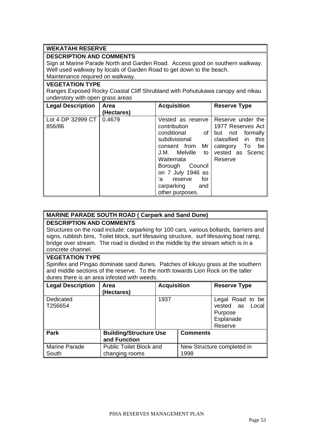### **WEKATAHI RESERVE**

### **DESCRIPTION AND COMMENTS**

Sign at Marine Parade North and Garden Road. Access good on southern walkway. Well used walkway by locals of Garden Road to get down to the beach. Maintenance required on walkway.

#### **VEGETATION TYPE**

Ranges Exposed Rocky Coastal Cliff Shrubland with Pohutukawa canopy and nikau understory with open grass areas

| Legal Description           | <b>Area</b><br>(Hectares) | <b>Acquisition</b>                                                                                                                                                                                                                                     | <b>Reserve Type</b>                                                                                                                              |
|-----------------------------|---------------------------|--------------------------------------------------------------------------------------------------------------------------------------------------------------------------------------------------------------------------------------------------------|--------------------------------------------------------------------------------------------------------------------------------------------------|
| Lot 4 DP 32999 CT<br>856/86 | 0.4679                    | Vested as reserve<br>contribution<br>conditional<br>0f<br>subdivisional<br>consent from<br>Mr<br>Melville<br>J.M.<br>to<br>Waitemata<br><b>Borough</b><br>Council<br>on 7 July 1946 as<br>for<br>'a<br>reserve<br>carparking<br>and<br>other purposes. | Reserve under the<br>1977 Reserves Act<br>not formally<br>but<br>in<br>classified<br>this<br>To<br>be<br>category<br>vested as Scenic<br>Reserve |

# **MARINE PARADE SOUTH ROAD ( Carpark and Sand Dune)**

# **DESCRIPTION AND COMMENTS**

Structures on the road include: carparking for 100 cars, various bollards, barriers and signs, rubbish bins, Toilet block, surf lifesaving structure, surf lifesaving boat ramp, bridge over stream. The road is divided in the middle by the stream which is in a concrete channel.

# **VEGETATION TYPE**

Spinifex and Pingao dominate sand dunes. Patches of kikuyu grass at the southern and middle sections of the reserve. To the north towards Lion Rock on the taller dunes there is an area infested with weeds.

| Legal Description        | Area<br>(Hectares)                               | <b>Acquisition</b> |                 | <b>Reserve Type</b>                                                       |
|--------------------------|--------------------------------------------------|--------------------|-----------------|---------------------------------------------------------------------------|
| Dedicated<br>T256654     |                                                  | 1937               |                 | Legal Road to be<br>vested as<br>Local<br>Purpose<br>Esplanade<br>Reserve |
| <b>Park</b>              | <b>Building/Structure Use</b><br>and Function    |                    | <b>Comments</b> |                                                                           |
| Marine Parade<br>∥ South | <b>Public Toilet Block and</b><br>changing rooms |                    | 1998            | New Structure completed in                                                |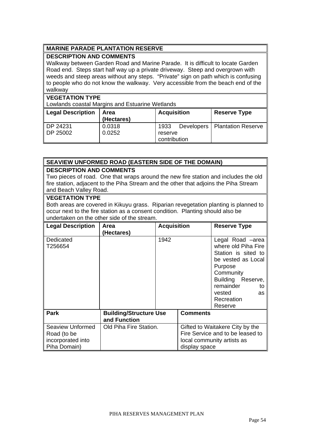# **MARINE PARADE PLANTATION RESERVE**

# **DESCRIPTION AND COMMENTS**

Walkway between Garden Road and Marine Parade. It is difficult to locate Garden Road end. Steps start half way up a private driveway. Steep and overgrown with weeds and steep areas without any steps. "Private" sign on path which is confusing to people who do not know the walkway. Very accessible from the beach end of the walkway

# **VEGETATION TYPE**

Lowlands coastal Margins and Estuarine Wetlands

| Legal Description | Area       | <b>Acquisition</b> | <b>Reserve Type</b>             |  |
|-------------------|------------|--------------------|---------------------------------|--|
|                   | (Hectares) |                    |                                 |  |
| ∥ DP 24231        | 0.0318     | 1933               | Developers   Plantation Reserve |  |
| ∥ DP 25002        | 0.0252     | reserve            |                                 |  |
|                   |            | contribution       |                                 |  |

# **SEAVIEW UNFORMED ROAD (EASTERN SIDE OF THE DOMAIN)**

# **DESCRIPTION AND COMMENTS**

Two pieces of road. One that wraps around the new fire station and includes the old fire station, adjacent to the Piha Stream and the other that adjoins the Piha Stream and Beach Valley Road.

### **VEGETATION TYPE**

Both areas are covered in Kikuyu grass. Riparian revegetation planting is planned to occur next to the fire station as a consent condition. Planting should also be undertaken on the other side of the stream.

| <b>Legal Description</b>                                             | Area                                          | <b>Acquisition</b> |                 | <b>Reserve Type</b>                                                                                                                                                                              |
|----------------------------------------------------------------------|-----------------------------------------------|--------------------|-----------------|--------------------------------------------------------------------------------------------------------------------------------------------------------------------------------------------------|
| Dedicated<br>T256654                                                 | (Hectares)                                    | 1942               |                 | Legal Road -area<br>where old Piha Fire<br>Station is sited to<br>be vested as Local<br>Purpose<br>Community<br>Building<br>Reserve,<br>remainder<br>to<br>vested<br>as<br>Recreation<br>Reserve |
| <b>Park</b>                                                          | <b>Building/Structure Use</b><br>and Function |                    | <b>Comments</b> |                                                                                                                                                                                                  |
| Seaview Unformed<br>Road (to be<br>incorporated into<br>Piha Domain) | Old Piha Fire Station.                        |                    | display space   | Gifted to Waitakere City by the<br>Fire Service and to be leased to<br>local community artists as                                                                                                |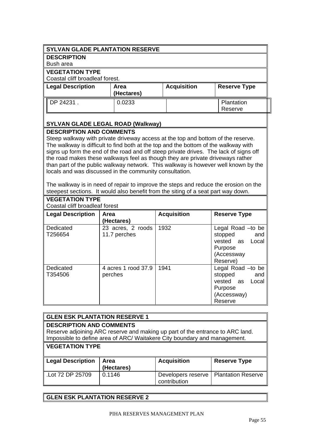# **SYLVAN GLADE PLANTATION RESERVE**

### **DESCRIPTION**

Bush area

### **VEGETATION TYPE**

**VEGETATION TYPE**

Coastal cliff broadleaf forest.

| <b>Legal Description</b> | Area<br>(Hectares) | <b>Acquisition</b> | <b>Reserve Type</b>   |
|--------------------------|--------------------|--------------------|-----------------------|
| ∥ DP 24231 .             | 0.0233             |                    | Plantation<br>Reserve |

# **SYLVAN GLADE LEGAL ROAD (Walkway)**

# **DESCRIPTION AND COMMENTS**

Steep walkway with private driveway access at the top and bottom of the reserve. The walkway is difficult to find both at the top and the bottom of the walkway with signs up form the end of the road and off steep private drives. The lack of signs off the road makes these walkways feel as though they are private driveways rather than part of the public walkway network. This walkway is however well known by the locals and was discussed in the community consultation.

The walkway is in need of repair to improve the steps and reduce the erosion on the steepest sections. It would also benefit from the siting of a seat part way down.

| Coastal cliff broadleaf forest |                                   |                    |                                                                                              |  |
|--------------------------------|-----------------------------------|--------------------|----------------------------------------------------------------------------------------------|--|
| <b>Legal Description</b>       | Area<br>(Hectares)                | <b>Acquisition</b> | <b>Reserve Type</b>                                                                          |  |
| Dedicated<br>T256654           | 23 acres, 2 roods<br>11.7 perches | 1932               | Legal Road -to be<br>stopped<br>and<br>vested as Local<br>Purpose<br>(Accessway<br>Reserve)  |  |
| Dedicated<br>T354506           | 4 acres 1 rood 37.9<br>perches    | 1941               | Legal Road - to be<br>stopped<br>and<br>vested as Local<br>Purpose<br>(Accessway)<br>Reserve |  |

| <b>GLEN ESK PLANTATION RESERVE 1</b>                                                           |                                                                                                                                                            |                    |                     |  |  |
|------------------------------------------------------------------------------------------------|------------------------------------------------------------------------------------------------------------------------------------------------------------|--------------------|---------------------|--|--|
| <b>DESCRIPTION AND COMMENTS</b>                                                                |                                                                                                                                                            |                    |                     |  |  |
|                                                                                                | Reserve adjoining ARC reserve and making up part of the entrance to ARC land.<br>Impossible to define area of ARC/ Waitakere City boundary and management. |                    |                     |  |  |
|                                                                                                | <b>VEGETATION TYPE</b>                                                                                                                                     |                    |                     |  |  |
| <b>Legal Description</b>                                                                       | Area<br>(Hectares)                                                                                                                                         | <b>Acquisition</b> | <b>Reserve Type</b> |  |  |
| L.Lot 72 DP 25709<br><b>Plantation Reserve</b><br>0.1146<br>Developers reserve<br>contribution |                                                                                                                                                            |                    |                     |  |  |

# **GLEN ESK PLANTATION RESERVE 2**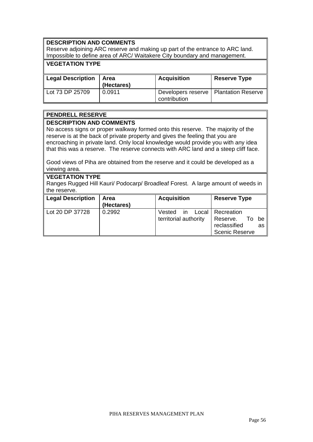# **DESCRIPTION AND COMMENTS**

Reserve adjoining ARC reserve and making up part of the entrance to ARC land. Impossible to define area of ARC/ Waitakere City boundary and management.

# **VEGETATION TYPE**

| <b>Legal Description</b> | Area<br>(Hectares) | <b>Acquisition</b>                                      | <b>Reserve Type</b> |
|--------------------------|--------------------|---------------------------------------------------------|---------------------|
| Lot 73 DP 25709          | 0.0911             | Developers reserve   Plantation Reserve<br>contribution |                     |

### **PENDRELL RESERVE**

### **DESCRIPTION AND COMMENTS**

No access signs or proper walkway formed onto this reserve. The majority of the reserve is at the back of private property and gives the feeling that you are encroaching in private land. Only local knowledge would provide you with any idea that this was a reserve. The reserve connects with ARC land and a steep cliff face.

Good views of Piha are obtained from the reserve and it could be developed as a viewing area.

### **VEGETATION TYPE**

Ranges Rugged Hill Kauri/ Podocarp/ Broadleaf Forest. A large amount of weeds in the reserve.

| Legal Description | Area<br>(Hectares) | <b>Acquisition</b>                              | <b>Reserve Type</b>                                                                    |
|-------------------|--------------------|-------------------------------------------------|----------------------------------------------------------------------------------------|
| Lot 20 DP 37728   | 0.2992             | Vested<br>$\mathsf{I}$<br>territorial authority | Local   Recreation<br>Reserve.<br>To be<br>reclassified<br>as<br><b>Scenic Reserve</b> |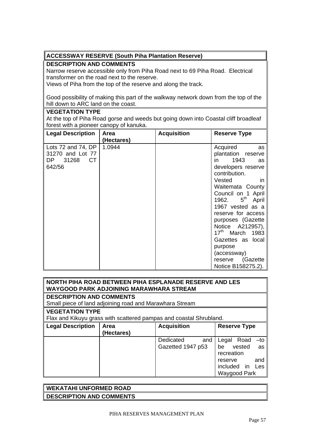# **ACCESSWAY RESERVE (South Piha Plantation Reserve)**

# **DESCRIPTION AND COMMENTS**

Narrow reserve accessible only from Piha Road next to 69 Piha Road. Electrical transformer on the road next to the reserve.

Views of Piha from the top of the reserve and along the track.

Good possibility of making this part of the walkway network down from the top of the hill down to ARC land on the coast.

# **VEGETATION TYPE**

At the top of Piha Road gorse and weeds but going down into Coastal cliff broadleaf forest with a pioneer canopy of kanuka.

| <b>Legal Description</b>                                               | <b>Area</b><br>(Hectares) | <b>Acquisition</b> | <b>Reserve Type</b>                                                                                                                                                                                                                                                                                                                                                                                          |
|------------------------------------------------------------------------|---------------------------|--------------------|--------------------------------------------------------------------------------------------------------------------------------------------------------------------------------------------------------------------------------------------------------------------------------------------------------------------------------------------------------------------------------------------------------------|
| Lots 72 and 74, DP<br>31270 and Lot 77<br>31268<br>СT<br>DP.<br>642/56 | 1.0944                    |                    | Acquired<br>as<br>plantation reserve<br>1943<br>in.<br><b>as</b><br>developers reserve<br>contribution.<br>Vested<br>in.<br>Waitemata County<br>Council on 1 April<br>$5^{\text{th}}$<br>1962.<br>April<br>1967 vested as a<br>reserve for access<br>purposes (Gazette<br>Notice A212957),<br>$17th$ March 1983<br>Gazettes as local<br>purpose<br>(accessway)<br>(Gazette)<br>reserve<br>Notice B158275.2). |

# **NORTH PIHA ROAD BETWEEN PIHA ESPLANADE RESERVE AND LES WAYGOOD PARK ADJOINING MARAWHARA STREAM**

# **DESCRIPTION AND COMMENTS**

Small piece of land adjoining road and Marawhara Stream

### **VEGETATION TYPE**

Flax and Kikuyu grass with scattered pampas and coastal Shrubland.

| <b>Legal Description</b> | <b>Area</b><br>(Hectares) | <b>Acquisition</b> | <b>Reserve Type</b>   |
|--------------------------|---------------------------|--------------------|-----------------------|
|                          |                           | Dedicated<br>and   | Road -to<br>Legal     |
|                          |                           | Gazetted 1947 p53  | vested<br>be<br>as    |
|                          |                           |                    | recreation            |
|                          |                           |                    | and<br>reserve        |
|                          |                           |                    | included<br>in<br>Les |
|                          |                           |                    | Waygood Park          |

| $\parallel$ WEKATAHI UNFORMED ROAD |  |
|------------------------------------|--|
| DESCRIPTION AND COMMENTS           |  |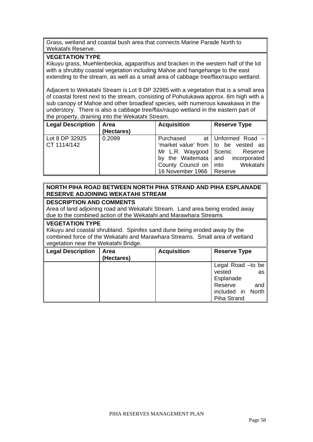Grass, wetland and coastal bush area that connects Marine Parade North to Wekatahi Reserve.

# **VEGETATION TYPE**

Kikuyu grass, Muehlenbeckia, agapanthus and bracken in the western half of the lot with a shrubby coastal vegetation including Mahoe and hangehange to the east extending to the stream, as well as a small area of cabbage tree/flax/raupo wetland.

Adjacent to Wekatahi Stream is Lot 9 DP 32985 with a vegetation that is a small area of coastal forest next to the stream, consisting of Pohutukawa approx. 6m high with a sub canopy of Mahoe and other broadleaf species, with numerous kawakawa in the understory. There is also a cabbage tree/flax/raupo wetland in the eastern part of the property, draining into the Wekatahi Stream.

| Legal Description             | Area<br>(Hectares) | <b>Acquisition</b>                                                  | <b>Reserve Type</b>                                                                                                                                |
|-------------------------------|--------------------|---------------------------------------------------------------------|----------------------------------------------------------------------------------------------------------------------------------------------------|
| Lot 8 DP 32925<br>CT 1114/142 | 0.2099             | Purchased<br>County Council on   into<br>16 November 1966   Reserve | at   Unformed Road $-$<br>'market value' from   to be vested as<br>Mr L.R. Waygood Scenic Reserve<br>by the Waitemata and incorporated<br>Wekatahi |

# **NORTH PIHA ROAD BETWEEN NORTH PIHA STRAND AND PIHA ESPLANADE RESERVE ADJOINING WEKATAHI STREAM**

### **DESCRIPTION AND COMMENTS**

Area of land adjoining road and Wekatahi Stream. Land area being eroded away due to the combined action of the Wekatahi and Marawhara Streams

### **VEGETATION TYPE**

Kikuyu and coastal shrubland. Spinifex sand dune being eroded away by the combined force of the Wekatahi and Marawhara Streams. Small area of wetland vegetation near the Wekatahi Bridge.

| <b>Legal Description</b> | <b>Area</b><br>(Hectares) | <b>Acquisition</b> | <b>Reserve Type</b> |
|--------------------------|---------------------------|--------------------|---------------------|
|                          |                           |                    | Legal Road - to be  |
|                          |                           |                    | vested<br>as        |
|                          |                           |                    | Esplanade           |
|                          |                           |                    | Reserve<br>and      |
|                          |                           |                    | included in North   |
|                          |                           |                    | <b>Piha Strand</b>  |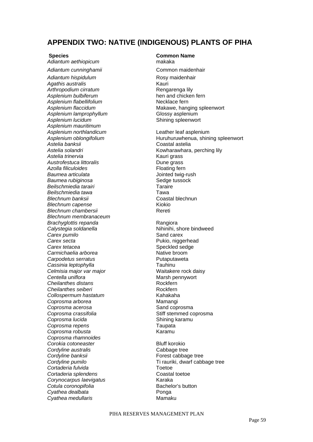# **APPENDIX TWO: NATIVE (INDIGENOUS) PLANTS OF PIHA**

*Adiantum aethiopicum* makaka

Adiantum hispidulum **Rosy maidenhair** Agathis australis **Kauri Kauri** Arthropodium cirratum **Arthropodium cirratum Rengarenga** lily *Asplenium bulbiferum* hen and chicken fern Asplenium flabellifolium **Necklace** fern Asplenium lamprophyllum **Clossy** asplenium Asplenium lucidum **but a strategied as a set of the Shining spleenwort** *Asplenium mauritimum Asplenium northlandicum* Leather leaf asplenium *Astelia banksii* Coastal astelia Astelia trinervia **Astelia** trinervia **Reservictive Construction** Kauri grass Austrofestuca littoralis **Austrofestuca** littoralis **Austrofestuca** littoralis Azolla filiculoides **Floating** fern **Baumea articulata Jointed twig-rush Baumea rubiginosa Sedge tussock** *Beilschmiedia tarairi* Taraire *Beilschmiedia tawa* Tawa **Blechnum banksii** *Blechnum capense* Kiokio *Blechnum chambersii* **Referred Referred Referred Referred Referred Referred Referred Referred Referred Referred Referred Referred Referred Referred Referred Referred Referred Referred** *Blechnum membranaceum*  **Brachyglottis repanda Rangiora Rangiora Calystegia soldanella Nihinihi**, shore bindweed *Carex pumilo* **Carex 2 Carex** *Carex* **Cand carex Carex secta Pukio, niggerhead Carex tetacea Speckled sedge Carmichaelia arborea Native broom Carpodetus serratus Putaputaweta** *Cassinia leptophylla* Tauhinu *Celmisia major var major* Waitakere rock daisy **Centella uniflora Marsh pennywort Marsh pennywort Cheilanthes distans Rockfern** *Cheilanthes seiberi* Rockfern **Collospermum hastatum Coprosma arborea Mamangi Coprosma acerosa Sand coprosma Coprosma crassifolia Stiff stemmed coprosma Coprosma lucida Shining karamu** *Coprosma repens* Taupata *Coprosma robusta* Karamu *Coprosma rhamnoides Corokia cotoneaster* **Bluff korokio Cordyline australis Cabbage tree Cordyline banksii Forest cabbage tree**<br> **Cordyline pumilo Forest cabbage tree**<br> **Firest conditional cabbage of the Cordyline pumilo** *Cortaderia fulvida* Toetoe **Cortaderia splendens Coastal toetoe** *Corynocarpus laevigatus* Karaka **Cotula coronopifolia Bachelor's button** *Cyathea dealbata* Ponga **Cyathea medullaris Mamaku** 

# **Species Common Name**

Adiantum cunninghamii **bertama cunninghamii** Common maidenhair Asplenium flaccidum **Makawe, hanging spleenwort** 

*Asplenium oblongifolium* Huruhuruwhenua, shining spleenwort *Astelia solandri* Kowharawhara, perching lily

*Cordyline pumilo* Ti rauriki, dwarf cabbage tree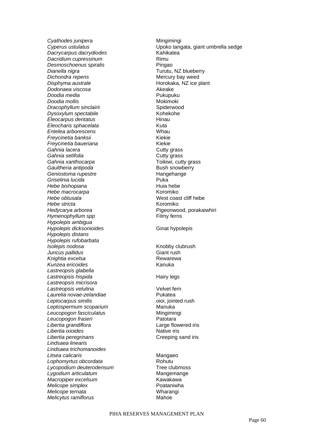**Cyathodes junipera Mingimingi** *Dacrycarpus dacrydiodes* Kahikatea **Dacridium cupressinum Rimu Desmoschoenus spiralis Pingao Dianella nigra Turutu, NZ blueberry** *Dichondra repens*<br> *Disphyma australe*<br> *Disphyma australe*<br>
Mercury Bay Mercury bay weed<br>
Horokaka, NZ ice p *Dodonaea viscosa Doodia media* 2008 - Pukupuku **Doodia mollis** and the molton of the Mokimoki **Dracophyllum sinclairii interventional control of the Spiderwood Dysoxylum spectabile Kohekohe** *Eleocarpus dentatus* **Hinau** *Eleocharis sphacelata* **Kuta** *Entelea arborescens* Whau *Freycinetia banksii* Kiekie *Freycinetia baueriana* Kiekie Gahnia lacera **Cutty** grass **Gahnia setifolia Cutty** grass Gahnia xanthocarpa **being contained to the Cahnia xanthocarpa Toikiwi**, cutty grass **Gaultheria antipoda Bush snowberry Geniostoma rupestre Hangehange Hangehange** *Griselinia lucida* Puka *Hebe bishopiana* Huia hebe *Hebe macrocarpa* Koromiko *Hebe stricta* Koromiko *Hedycarya arborea* **Pigeonwood**, porakaiwhiri *Hymenophyllum spp* Filmy ferns *Hypolepis ambigua Hypolepis dicksonioides* **Ginat hypolepis** *Hypolepis distans Hypolepis rufobarbata Isolepis nodosa* **Knobby clubrush** *Juncus pallidus* Giant rush Knightia excelsa **Rewarewa Rewarewa** Kunzea ericoides **Kunzea ericoides Kanuka** *Lastreopsis glabella Lastreopsis hispida* Hairy legs *Lastreopsis micrisora Lastreopsis velutina* Velvet fern *Laurelia novae-zelandiae* Pukatea *Leptocarpus similis* oioi, jointed rush *Leptospermum scoparium* Manuka **Leucopogon fasciculatus**<br>
Leucopogon fraseri<br>
Leucopogon fraseri Leucopogon fraseri *Libertia grandiflora* Large flowered iris *Libertia ixioides* **Native irris** Native iris **Libertia peregrinans Creeping sand iris** *Lindsaea linearis Lindsaea trichomanoides Litsea calicaris* Mangaeo *Lophomyrtus obcordata* Rohutu **Lycopodium deuterodensum Tree clubmoss** Lygodium articulatum **Mangemange** *Macropiper excelsum* Xawakawa *Melicope simplex* Poataniwha *Melicope ternata* Wharangi *Melicytus ramiflorus* **Mahoe** 

*Cyperus ustulatus* Upoko tangata, giant umbrella sedge **Horokaka, NZ ice plant<br>Akeake** West coast cliff hebe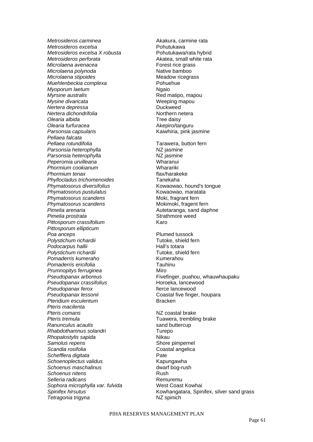*Metrosideros carminea* and the *Akakura*, carmine rata *Metrosideros excelsa* Pohutukawa *Metrosideros excelsa X robusta* Pohutukawa/rata hybrid *Metrosideros perforata* and a set of the Akatea, small white rata *Microlaena avenacea* **Forest rice grass** *Microlaena polynoda* and the settlem **Native bamboo** *Microlaena stipoides*<br> *Muehlenbeckia complexa*<br>
Muehlenbeckia complexa<br>
Muehlenbeckia complexa *Muehlenbeckia complexa Myoporum laetum* Ngaio **Mysine divaricata Weeping mapou** *Nertera depressa* **Duckweed Nertera dichondrifolia Northern netera** *Olearia albida* Tree daisy **Olearia furfuracea Akepiro/tanguru** Parsonsia capsularis **Access 19 and 19 and 19 and 19 and 19 and 19 and 19 and 19 and 19 and 19 and 19 and 19 and 19 and 19 and 19 and 19 and 19 and 19 and 19 and 19 and 19 and 19 and 19 and 19 and 19 and 19 and 19 and 19 a** *Pellaea falcata Parsonsia heterophylla* NZ jasmine **Parsonsia heterophylla** Peperomia urvilleana **belanging terminal wharanui Phormium cookianum Wharariki** *Phormium tenax* flax/harakeke *Phyllocladus trichomenoides* Tanekaha Phymatosorus diversifolius **Matube 2018** Kowaowao, hound's tongue **Phymatosorus pustulatus**<br> **Phymatosorus scandens**<br> **Community Moki, fragrant fern**<br> **Moki, fragrant fern** *Phymatosorus scandens* **Phymatosorus scandens** Mokimoki, fragent fern *Pimelia arenaria* **Autetaranga**, sand daphne **Pimelia prostrata According to the Strathmore weed** *Pittosporum crassifolium* **Karo** *Pittosporum ellipticum*  **Poa anceps Plumed tussock** *Polystichum richardii* **Tutoke**, shield fern Podocarpus hallii **Alli**n and the Hall's totara Polystichum richardii **Tutoke**, shield fern Pomaderris kumeraho **berkenang kumerahou** Kumerahou *Pomaderris ericifolia* Tauhinu **Prumnopitys ferruginea Miro** Miro **Pseudopanax crassifolius Horoeka, lancewood Pseudopanax ferox fierce lancewood** Pseudopanax lessonii **berena in control coastal five finger**, houpara *Pteridium esculentum* **Bracken** *Pteris macilenta*  **Pteris comans and the Contract Contract Contract Preris contract Contract Contract Contract Contract Contract Contract Contract Contract Contract Contract Contract Contract Contract Contract Contract Contract Contract Con Ranunculus acaulis sand buttercup** *Rhabdothamnus solandri* Turepo *Rhopalostylis sapida* Nikau **Samolus repens** Samolus *Samolus repens* **Scandia rosifolia Coastal angelica** *Schefflera digitata* Pate *Schoenoplectus validus* Kapungawha *Schoenus maschalinus* dwarf bog-rush *Schoenus nitens* Rush **Selleria radicans Remuremu** Sophora microphylla var. fulvida **West Coast Kowhai Tetragonia trigyna NZ** spinich

*Myrsine australis* Red matipo, mapou Tarawera, button fern *Pseudopanax arboreus* Fivefinger, puahou, whauwhaupaku *Pteris tremula* Tuawera, trembling brake

*Spinifex hirsutus* Kowhangatara, Spinifex, silver sand grass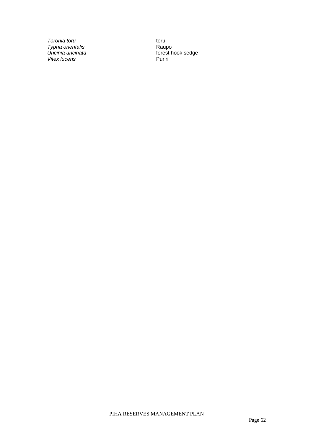*Toronia toru* toru *Typha orientalis*<br>Uncinia uncinata Vitex lucens **Puritives Puritives Puritives** 

Raupo<br>forest hook sedge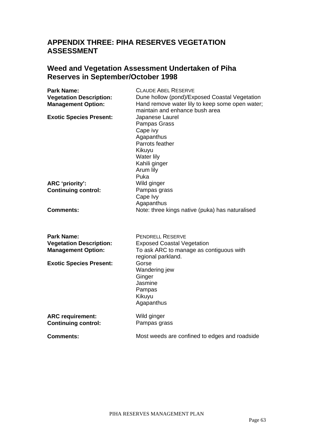# **APPENDIX THREE: PIHA RESERVES VEGETATION ASSESSMENT**

# **Weed and Vegetation Assessment Undertaken of Piha Reserves in September/October 1998**

| <b>Park Name:</b><br><b>Vegetation Description:</b><br><b>Management Option:</b> | <b>CLAUDE ABEL RESERVE</b><br>Dune hollow (pond)/Exposed Coastal Vegetation<br>Hand remove water lily to keep some open water;<br>maintain and enhance bush area |
|----------------------------------------------------------------------------------|------------------------------------------------------------------------------------------------------------------------------------------------------------------|
| <b>Exotic Species Present:</b>                                                   | Japanese Laurel<br>Pampas Grass<br>Cape ivy<br>Agapanthus<br>Parrots feather<br>Kikuyu<br>Water lily<br>Kahili ginger<br>Arum lily<br>Puka                       |
| ARC 'priority':                                                                  | Wild ginger                                                                                                                                                      |
| <b>Continuing control:</b>                                                       | Pampas grass<br>Cape Ivy<br>Agapanthus                                                                                                                           |
| <b>Comments:</b>                                                                 | Note: three kings native (puka) has naturalised                                                                                                                  |
| <b>Park Name:</b>                                                                | <b>PENDRELL RESERVE</b>                                                                                                                                          |
| <b>Vegetation Description:</b><br><b>Management Option:</b>                      | <b>Exposed Coastal Vegetation</b><br>To ask ARC to manage as contiguous with<br>regional parkland.                                                               |
| <b>Exotic Species Present:</b>                                                   | Gorse<br>Wandering jew<br>Ginger<br>Jasmine<br>Pampas<br>Kikuyu<br>Agapanthus                                                                                    |
| <b>ARC requirement:</b><br><b>Continuing control:</b>                            | Wild ginger<br>Pampas grass                                                                                                                                      |
| <b>Comments:</b>                                                                 | Most weeds are confined to edges and roadside                                                                                                                    |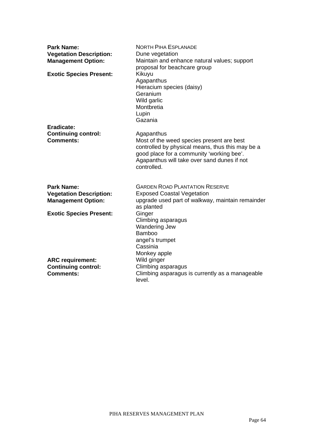| <b>Park Name:</b><br><b>Vegetation Description:</b><br><b>Management Option:</b> | <b>NORTH PIHA ESPLANADE</b><br>Dune vegetation<br>Maintain and enhance natural values; support<br>proposal for beachcare group                                                                                         |
|----------------------------------------------------------------------------------|------------------------------------------------------------------------------------------------------------------------------------------------------------------------------------------------------------------------|
| <b>Exotic Species Present:</b>                                                   | Kikuyu<br>Agapanthus<br>Hieracium species (daisy)<br>Geranium<br>Wild garlic<br>Montbretia<br>Lupin<br>Gazania                                                                                                         |
| Eradicate:<br><b>Continuing control:</b><br><b>Comments:</b>                     | Agapanthus<br>Most of the weed species present are best<br>controlled by physical means, thus this may be a<br>good place for a community 'working bee'.<br>Agapanthus will take over sand dunes if not<br>controlled. |
| <b>Park Name:</b><br><b>Vegetation Description:</b><br><b>Management Option:</b> | <b>GARDEN ROAD PLANTATION RESERVE</b><br><b>Exposed Coastal Vegetation</b><br>upgrade used part of walkway, maintain remainder<br>as planted                                                                           |
| <b>Exotic Species Present:</b>                                                   | Ginger<br>Climbing asparagus<br><b>Wandering Jew</b><br>Bamboo<br>angel's trumpet<br>Cassinia<br>Monkey apple                                                                                                          |
| <b>ARC</b> requirement:<br><b>Continuing control:</b><br><b>Comments:</b>        | Wild ginger<br>Climbing asparagus<br>Climbing asparagus is currently as a manageable<br>level.                                                                                                                         |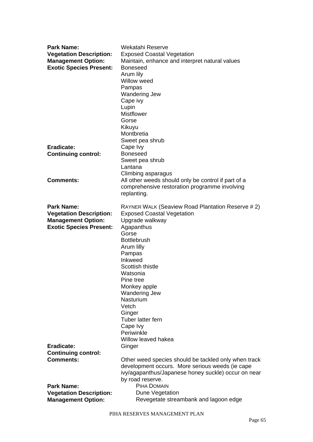| <b>Park Name:</b>              | Wekatahi Reserve                                     |
|--------------------------------|------------------------------------------------------|
| <b>Vegetation Description:</b> | <b>Exposed Coastal Vegetation</b>                    |
| <b>Management Option:</b>      | Maintain, enhance and interpret natural values       |
| <b>Exotic Species Present:</b> | <b>Boneseed</b>                                      |
|                                | Arum lily                                            |
|                                | Willow weed                                          |
|                                | Pampas                                               |
|                                | <b>Wandering Jew</b>                                 |
|                                | Cape ivy                                             |
|                                | Lupin                                                |
|                                | <b>Mistflower</b>                                    |
|                                | Gorse                                                |
|                                | Kikuyu                                               |
|                                | Montbretia                                           |
|                                | Sweet pea shrub                                      |
| Eradicate:                     | Cape Ivy                                             |
| <b>Continuing control:</b>     | <b>Boneseed</b>                                      |
|                                | Sweet pea shrub                                      |
|                                | Lantana                                              |
|                                | Climbing asparagus                                   |
| <b>Comments:</b>               | All other weeds should only be control if part of a  |
|                                | comprehensive restoration programme involving        |
|                                | replanting.                                          |
| <b>Park Name:</b>              | RAYNER WALK (Seaview Road Plantation Reserve # 2)    |
| <b>Vegetation Description:</b> | <b>Exposed Coastal Vegetation</b>                    |
| <b>Management Option:</b>      | Upgrade walkway                                      |
| <b>Exotic Species Present:</b> | Agapanthus                                           |
|                                | Gorse                                                |
|                                | <b>Bottlebrush</b>                                   |
|                                | Arum lilly                                           |
|                                | Pampas                                               |
|                                | Inkweed                                              |
|                                | Scottish thistle                                     |
|                                | Watsonia                                             |
|                                | Pine tree                                            |
|                                | Monkey apple                                         |
|                                | <b>Wandering Jew</b>                                 |
|                                | Nasturium                                            |
|                                | Vetch                                                |
|                                | Ginger                                               |
|                                | Tuber latter fern                                    |
|                                | Cape Ivy                                             |
|                                | Periwinkle                                           |
|                                | Willow leaved hakea                                  |
| Eradicate:                     | Ginger                                               |
| <b>Continuing control:</b>     |                                                      |
| <b>Comments:</b>               | Other weed species should be tackled only when track |
|                                | development occurs. More serious weeds (ie cape      |
|                                | ivy/agapanthus/Japanese honey suckle) occur on near  |
|                                | by road reserve.                                     |
| <b>Park Name:</b>              | PIHA DOMAIN                                          |
| <b>Vegetation Description:</b> | Dune Vegetation                                      |
| <b>Management Option:</b>      | Revegetate streambank and lagoon edge                |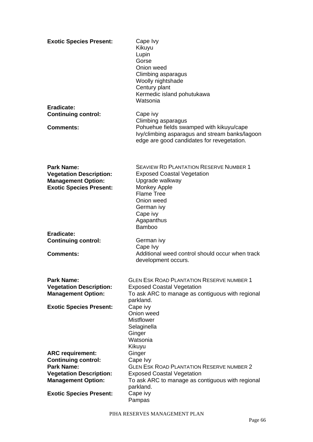| <b>Exotic Species Present:</b>                                                                                     | Cape Ivy<br>Kikuyu<br>Lupin<br>Gorse<br>Onion weed<br>Climbing asparagus<br>Woolly nightshade<br>Century plant<br>Kermedic island pohutukawa<br>Watsonia |
|--------------------------------------------------------------------------------------------------------------------|----------------------------------------------------------------------------------------------------------------------------------------------------------|
| Eradicate:<br><b>Continuing control:</b>                                                                           | Cape ivy                                                                                                                                                 |
| <b>Comments:</b>                                                                                                   | Climbing asparagus<br>Pohuehue fields swamped with kikuyu/cape                                                                                           |
|                                                                                                                    | Ivy/climbing asparagus and stream banks/lagoon<br>edge are good candidates for revegetation.                                                             |
| <b>Park Name:</b><br><b>Vegetation Description:</b><br><b>Management Option:</b><br><b>Exotic Species Present:</b> | <b>SEAVIEW RD PLANTATION RESERVE NUMBER 1</b><br><b>Exposed Coastal Vegetation</b><br>Upgrade walkway<br>Monkey Apple                                    |
|                                                                                                                    | <b>Flame Tree</b><br>Onion weed<br>German ivy<br>Cape ivy<br>Agapanthus<br><b>Bamboo</b>                                                                 |
| Eradicate:                                                                                                         |                                                                                                                                                          |
| <b>Continuing control:</b>                                                                                         | German ivy<br>Cape Ivy                                                                                                                                   |
| <b>Comments:</b>                                                                                                   | Additional weed control should occur when track<br>development occurs.                                                                                   |
| <b>Park Name:</b>                                                                                                  | GLEN ESK ROAD PLANTATION RESERVE NUMBER 1                                                                                                                |
| <b>Vegetation Description:</b><br><b>Management Option:</b>                                                        | <b>Exposed Coastal Vegetation</b><br>To ask ARC to manage as contiguous with regional<br>parkland.                                                       |
| <b>Exotic Species Present:</b>                                                                                     | Cape ivy<br>Onion weed                                                                                                                                   |
|                                                                                                                    | <b>Mistflower</b>                                                                                                                                        |
|                                                                                                                    | Selaginella<br>Ginger<br>Watsonia                                                                                                                        |
| <b>ARC requirement:</b>                                                                                            | Kikuyu<br>Ginger                                                                                                                                         |
| <b>Continuing control:</b><br><b>Park Name:</b>                                                                    | Cape Ivy<br><b>GLEN ESK ROAD PLANTATION RESERVE NUMBER 2</b>                                                                                             |
| <b>Vegetation Description:</b>                                                                                     | <b>Exposed Coastal Vegetation</b>                                                                                                                        |
| <b>Management Option:</b>                                                                                          | To ask ARC to manage as contiguous with regional<br>parkland.                                                                                            |
| <b>Exotic Species Present:</b>                                                                                     | Cape ivy<br>Pampas                                                                                                                                       |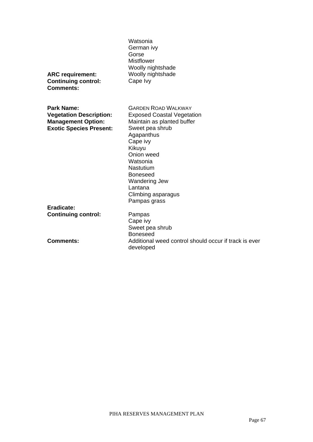| <b>ARC</b> requirement:<br><b>Continuing control:</b><br><b>Comments:</b> | Watsonia<br>German ivy<br>Gorse<br><b>Mistflower</b><br>Woolly nightshade<br>Woolly nightshade<br>Cape Ivy                                                                                                                  |
|---------------------------------------------------------------------------|-----------------------------------------------------------------------------------------------------------------------------------------------------------------------------------------------------------------------------|
| Park Name:<br><b>Vegetation Description:</b>                              | <b>GARDEN ROAD WAI KWAY</b><br><b>Exposed Coastal Vegetation</b>                                                                                                                                                            |
| <b>Management Option:</b><br><b>Exotic Species Present:</b>               | Maintain as planted buffer<br>Sweet pea shrub<br>Agapanthus<br>Cape ivy<br>Kikuyu<br>Onion weed<br>Watsonia<br><b>Nastutium</b><br><b>Boneseed</b><br><b>Wandering Jew</b><br>Lantana<br>Climbing asparagus<br>Pampas grass |
| Eradicate:<br><b>Continuing control:</b>                                  | Pampas                                                                                                                                                                                                                      |
| Comments:                                                                 | Cape ivy<br>Sweet pea shrub<br><b>Boneseed</b><br>Additional weed control should occur if track is ever<br>developed                                                                                                        |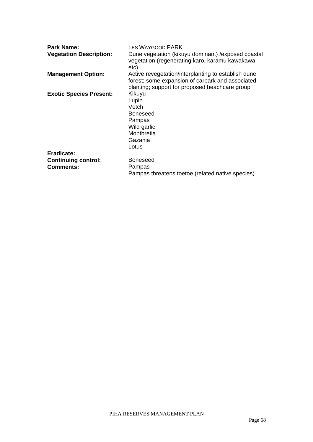| <b>Park Name:</b>              | <b>LES WAYGOOD PARK</b>                                                                                                                                   |
|--------------------------------|-----------------------------------------------------------------------------------------------------------------------------------------------------------|
| <b>Vegetation Description:</b> | Dune vegetation (kikuyu dominant) / exposed coastal<br>vegetation (regenerating karo, karamu kawakawa<br>etc)                                             |
| <b>Management Option:</b>      | Active revegetation/interplanting to establish dune<br>forest; some expansion of carpark and associated<br>planting; support for proposed beachcare group |
| <b>Exotic Species Present:</b> | Kikuyu<br>Lupin<br>Vetch<br><b>Boneseed</b><br>Pampas<br>Wild garlic<br>Montbretia<br>Gazania<br>Lotus                                                    |
| Eradicate:                     |                                                                                                                                                           |
| <b>Continuing control:</b>     | <b>Boneseed</b>                                                                                                                                           |
| <b>Comments:</b>               | Pampas                                                                                                                                                    |
|                                | Pampas threatens toetoe (related native species)                                                                                                          |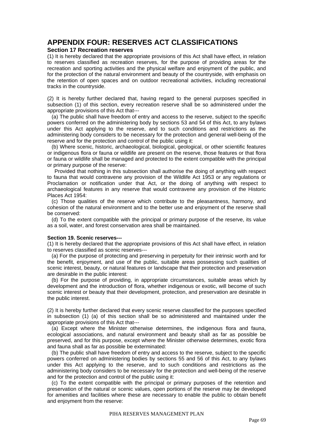# **APPENDIX FOUR: RESERVES ACT CLASSIFICATIONS**

#### **Section 17 Recreation reserves**

(1) It is hereby declared that the appropriate provisions of this Act shall have effect, in relation to reserves classified as recreation reserves, for the purpose of providing areas for the recreation and sporting activities and the physical welfare and enjoyment of the public, and for the protection of the natural environment and beauty of the countryside, with emphasis on the retention of open spaces and on outdoor recreational activities, including recreational tracks in the countryside.

(2) It is hereby further declared that, having regard to the general purposes specified in subsection (1) of this section, every recreation reserve shall be so administered under the appropriate provisions of this Act that---

 (a) The public shall have freedom of entry and access to the reserve, subject to the specific powers conferred on the administering body by sections 53 and 54 of this Act, to any bylaws under this Act applying to the reserve, and to such conditions and restrictions as the administering body considers to be necessary for the protection and general well-being of the reserve and for the protection and control of the public using it:

 (b) Where scenic, historic, archaeological, biological, geological, or other scientific features or indigenous flora or fauna or wildlife are present on the reserve, those features or that flora or fauna or wildlife shall be managed and protected to the extent compatible with the principal or primary purpose of the reserve:

 Provided that nothing in this subsection shall authorise the doing of anything with respect to fauna that would contravene any provision of the Wildlife Act 1953 or any regulations or Proclamation or notification under that Act, or the doing of anything with respect to archaeological features in any reserve that would contravene any provision of the Historic Places Act 1954:

 (c) Those qualities of the reserve which contribute to the pleasantness, harmony, and cohesion of the natural environment and to the better use and enjoyment of the reserve shall be conserved:

 (d) To the extent compatible with the principal or primary purpose of the reserve, its value as a soil, water, and forest conservation area shall be maintained.

#### **Section 19. Scenic reserves---**

(1) It is hereby declared that the appropriate provisions of this Act shall have effect, in relation to reserves classified as scenic reserves---

 (a) For the purpose of protecting and preserving in perpetuity for their intrinsic worth and for the benefit, enjoyment, and use of the public, suitable areas possessing such qualities of scenic interest, beauty, or natural features or landscape that their protection and preservation are desirable in the public interest:

 (b) For the purpose of providing, in appropriate circumstances, suitable areas which by development and the introduction of flora, whether indigenous or exotic, will become of such scenic interest or beauty that their development, protection, and preservation are desirable in the public interest.

(2) It is hereby further declared that every scenic reserve classified for the purposes specified in subsection (1) (a) of this section shall be so administered and maintained under the appropriate provisions of this Act that---

 (a) Except where the Minister otherwise determines, the indigenous flora and fauna, ecological associations, and natural environment and beauty shall as far as possible be preserved, and for this purpose, except where the Minister otherwise determines, exotic flora and fauna shall as far as possible be exterminated:

 (b) The public shall have freedom of entry and access to the reserve, subject to the specific powers conferred on administering bodies by sections 55 and 56 of this Act, to any bylaws under this Act applying to the reserve, and to such conditions and restrictions as the administering body considers to be necessary for the protection and well-being of the reserve and for the protection and control of the public using it:

 (c) To the extent compatible with the principal or primary purposes of the retention and preservation of the natural or scenic values, open portions of the reserve may be developed for amenities and facilities where these are necessary to enable the public to obtain benefit and enjoyment from the reserve: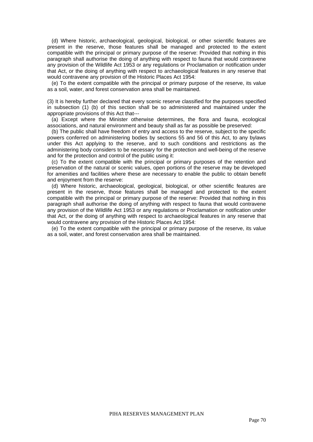(d) Where historic, archaeological, geological, biological, or other scientific features are present in the reserve, those features shall be managed and protected to the extent compatible with the principal or primary purpose of the reserve: Provided that nothing in this paragraph shall authorise the doing of anything with respect to fauna that would contravene any provision of the Wildlife Act 1953 or any regulations or Proclamation or notification under that Act, or the doing of anything with respect to archaeological features in any reserve that would contravene any provision of the Historic Places Act 1954:

 (e) To the extent compatible with the principal or primary purpose of the reserve, its value as a soil, water, and forest conservation area shall be maintained.

(3) It is hereby further declared that every scenic reserve classified for the purposes specified in subsection (1) (b) of this section shall be so administered and maintained under the appropriate provisions of this Act that---

 (a) Except where the Minister otherwise determines, the flora and fauna, ecological associations, and natural environment and beauty shall as far as possible be preserved:

 (b) The public shall have freedom of entry and access to the reserve, subject to the specific powers conferred on administering bodies by sections 55 and 56 of this Act, to any bylaws under this Act applying to the reserve, and to such conditions and restrictions as the administering body considers to be necessary for the protection and well-being of the reserve and for the protection and control of the public using it:

 (c) To the extent compatible with the principal or primary purposes of the retention and preservation of the natural or scenic values, open portions of the reserve may be developed for amenities and facilities where these are necessary to enable the public to obtain benefit and enjoyment from the reserve:

 (d) Where historic, archaeological, geological, biological, or other scientific features are present in the reserve, those features shall be managed and protected to the extent compatible with the principal or primary purpose of the reserve: Provided that nothing in this paragraph shall authorise the doing of anything with respect to fauna that would contravene any provision of the Wildlife Act 1953 or any regulations or Proclamation or notification under that Act, or the doing of anything with respect to archaeological features in any reserve that would contravene any provision of the Historic Places Act 1954:

 (e) To the extent compatible with the principal or primary purpose of the reserve, its value as a soil, water, and forest conservation area shall be maintained.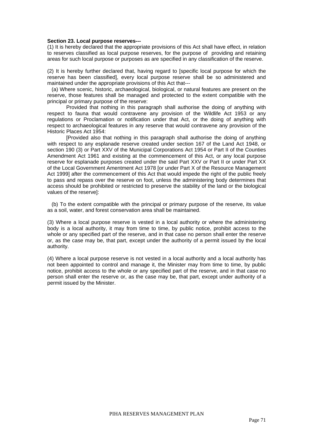#### **Section 23. Local purpose reserves---**

(1) It is hereby declared that the appropriate provisions of this Act shall have effect, in relation to reserves classified as local purpose reserves, for the purpose of providing and retaining areas for such local purpose or purposes as are specified in any classification of the reserve.

(2) It is hereby further declared that, having regard to [specific local purpose for which the reserve has been classified], every local purpose reserve shall be so administered and maintained under the appropriate provisions of this Act that---

 (a) Where scenic, historic, archaeological, biological, or natural features are present on the reserve, those features shall be managed and protected to the extent compatible with the principal or primary purpose of the reserve:

Provided that nothing in this paragraph shall authorise the doing of anything with respect to fauna that would contravene any provision of the Wildlife Act 1953 or any regulations or Proclamation or notification under that Act, or the doing of anything with respect to archaeological features in any reserve that would contravene any provision of the Historic Places Act 1954:

[Provided also that nothing in this paragraph shall authorise the doing of anything with respect to any esplanade reserve created under section 167 of the Land Act 1948, or section 190 (3) or Part XXV of the Municipal Corporations Act 1954 or Part II of the Counties Amendment Act 1961 and existing at the commencement of this Act, or any local purpose reserve for esplanade purposes created under the said Part XXV or Part II or under Part XX of the Local Government Amentment Act 1978 [or under Part X of the Resource Management Act 1999] after the commencement of this Act that would impede the right of the public freely to pass and repass over the reserve on foot, unless the administering body determines that access should be prohibited or restricted to preserve the stability of the land or the biological values of the reserve]:

 (b) To the extent compatible with the principal or primary purpose of the reserve, its value as a soil, water, and forest conservation area shall be maintained.

(3) Where a local purpose reserve is vested in a local authority or where the administering body is a local authority, it may from time to time, by public notice, prohibit access to the whole or any specified part of the reserve, and in that case no person shall enter the reserve or, as the case may be, that part, except under the authority of a permit issued by the local authority.

(4) Where a local purpose reserve is not vested in a local authority and a local authority has not been appointed to control and manage it, the Minister may from time to time, by public notice, prohibit access to the whole or any specified part of the reserve, and in that case no person shall enter the reserve or, as the case may be, that part, except under authority of a permit issued by the Minister.